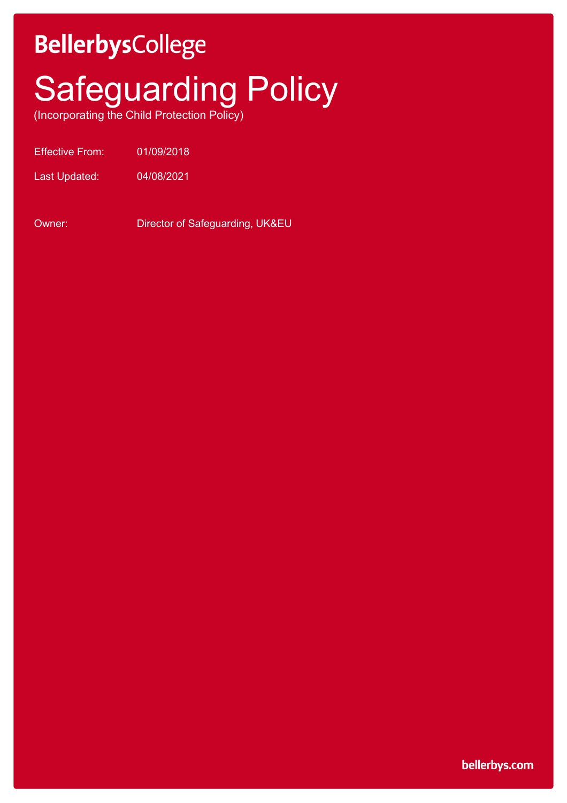## **BellerbysCollege**

# **Safeguarding Policy**

(Incorporating the Child Protection Policy)

Effective From: 01/09/2018

Last Updated: 04/08/2021

Owner: Director of Safeguarding, UK&EU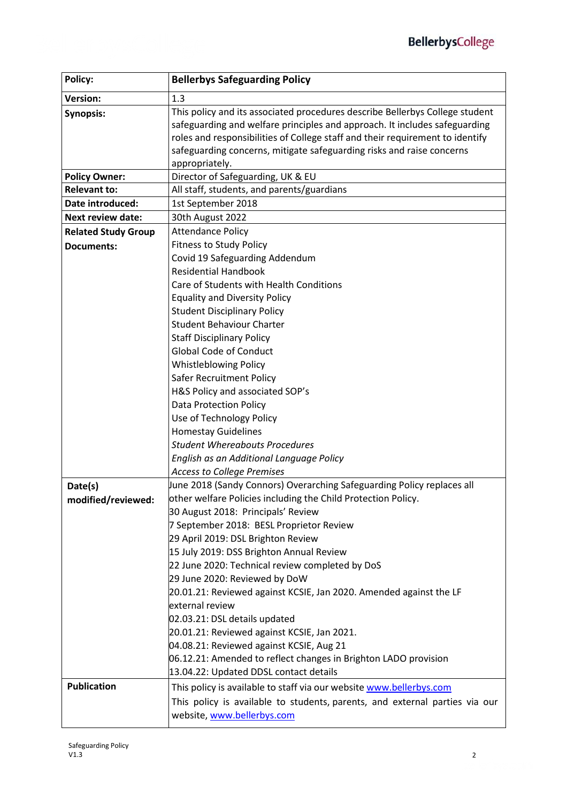| Policy:                    | <b>Bellerbys Safeguarding Policy</b>                                          |
|----------------------------|-------------------------------------------------------------------------------|
| <b>Version:</b>            | 1.3                                                                           |
| <b>Synopsis:</b>           | This policy and its associated procedures describe Bellerbys College student  |
|                            | safeguarding and welfare principles and approach. It includes safeguarding    |
|                            | roles and responsibilities of College staff and their requirement to identify |
|                            | safeguarding concerns, mitigate safeguarding risks and raise concerns         |
|                            | appropriately.                                                                |
| <b>Policy Owner:</b>       | Director of Safeguarding, UK & EU                                             |
| <b>Relevant to:</b>        | All staff, students, and parents/guardians                                    |
| Date introduced:           | 1st September 2018                                                            |
| <b>Next review date:</b>   | 30th August 2022                                                              |
| <b>Related Study Group</b> | <b>Attendance Policy</b>                                                      |
| <b>Documents:</b>          | <b>Fitness to Study Policy</b>                                                |
|                            | Covid 19 Safeguarding Addendum                                                |
|                            | <b>Residential Handbook</b>                                                   |
|                            | Care of Students with Health Conditions                                       |
|                            | <b>Equality and Diversity Policy</b>                                          |
|                            | <b>Student Disciplinary Policy</b>                                            |
|                            | <b>Student Behaviour Charter</b>                                              |
|                            | <b>Staff Disciplinary Policy</b>                                              |
|                            | <b>Global Code of Conduct</b>                                                 |
|                            | <b>Whistleblowing Policy</b>                                                  |
|                            | Safer Recruitment Policy                                                      |
|                            | H&S Policy and associated SOP's                                               |
|                            | <b>Data Protection Policy</b>                                                 |
|                            | Use of Technology Policy                                                      |
|                            | <b>Homestay Guidelines</b>                                                    |
|                            | <b>Student Whereabouts Procedures</b>                                         |
|                            | English as an Additional Language Policy                                      |
|                            | <b>Access to College Premises</b>                                             |
| Date(s)                    | June 2018 (Sandy Connors) Overarching Safeguarding Policy replaces all        |
| modified/reviewed:         | other welfare Policies including the Child Protection Policy.                 |
|                            | 30 August 2018: Principals' Review                                            |
|                            | 7 September 2018: BESL Proprietor Review                                      |
|                            | 29 April 2019: DSL Brighton Review                                            |
|                            | 15 July 2019: DSS Brighton Annual Review                                      |
|                            | 22 June 2020: Technical review completed by DoS                               |
|                            | 29 June 2020: Reviewed by DoW                                                 |
|                            | 20.01.21: Reviewed against KCSIE, Jan 2020. Amended against the LF            |
|                            | external review                                                               |
|                            | 02.03.21: DSL details updated                                                 |
|                            | 20.01.21: Reviewed against KCSIE, Jan 2021.                                   |
|                            | 04.08.21: Reviewed against KCSIE, Aug 21                                      |
|                            | 06.12.21: Amended to reflect changes in Brighton LADO provision               |
|                            | 13.04.22: Updated DDSL contact details                                        |
| <b>Publication</b>         | This policy is available to staff via our website www.bellerbys.com           |
|                            | This policy is available to students, parents, and external parties via our   |
|                            | website, www.bellerbys.com                                                    |
|                            |                                                                               |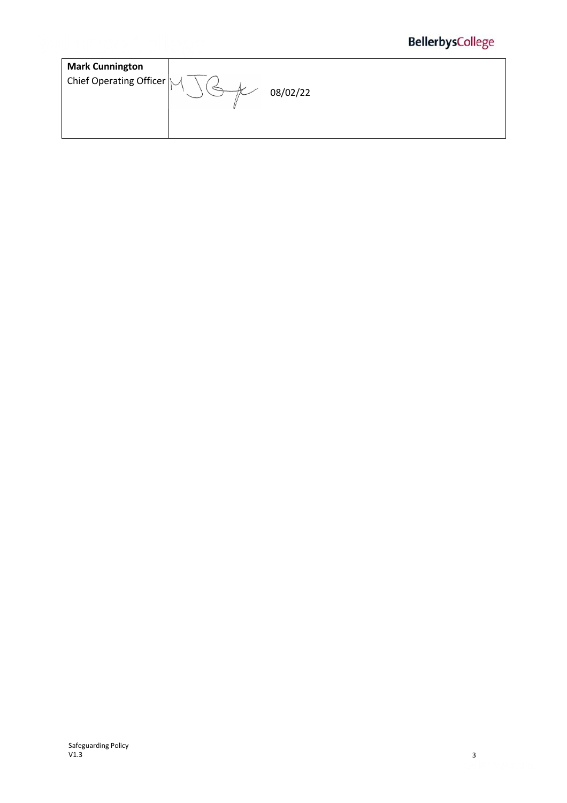| and the second control of the       | The company and the forms and company are the<br>. |  | the company of the company of the company of the company of the company of the company of the company of the company of the company of the company of the company of the company of the company of the company of the company<br>アベート カード カー・ファン |  |  |
|-------------------------------------|----------------------------------------------------|--|--------------------------------------------------------------------------------------------------------------------------------------------------------------------------------------------------------------------------------------------------|--|--|
|                                     |                                                    |  |                                                                                                                                                                                                                                                  |  |  |
| <b><i>Commercial Commercial</i></b> | マノーモノ トイン しっけいシスコ ロバース にっぽんしゃ                      |  |                                                                                                                                                                                                                                                  |  |  |
|                                     |                                                    |  |                                                                                                                                                                                                                                                  |  |  |

| <b>Mark Cunnington</b>                 |          |
|----------------------------------------|----------|
| Chief Operating Officer $\bigg  \cdot$ | 08/02/22 |
|                                        |          |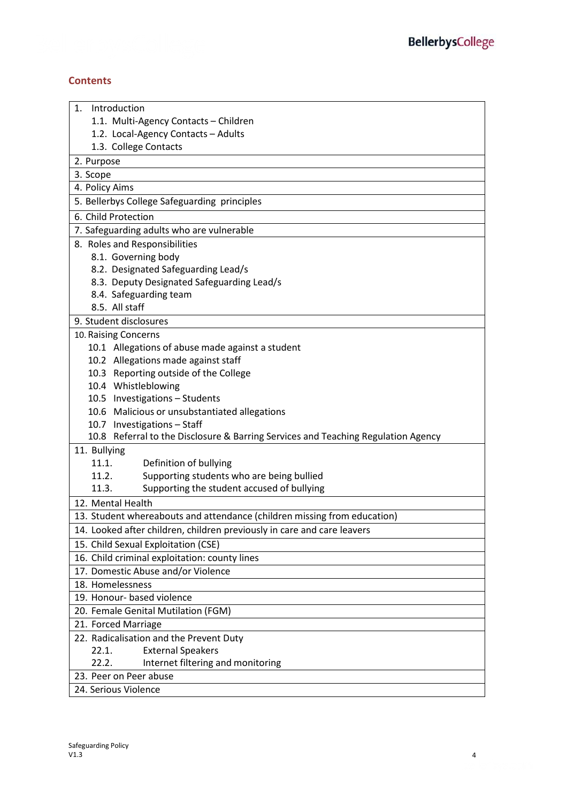### **Contents**

| Introduction<br>1.                                                                |  |  |
|-----------------------------------------------------------------------------------|--|--|
| 1.1. Multi-Agency Contacts - Children                                             |  |  |
| 1.2. Local-Agency Contacts - Adults                                               |  |  |
| 1.3. College Contacts                                                             |  |  |
| 2. Purpose                                                                        |  |  |
| 3. Scope                                                                          |  |  |
| 4. Policy Aims                                                                    |  |  |
| 5. Bellerbys College Safeguarding principles                                      |  |  |
| 6. Child Protection                                                               |  |  |
| 7. Safeguarding adults who are vulnerable                                         |  |  |
| 8. Roles and Responsibilities                                                     |  |  |
| 8.1. Governing body                                                               |  |  |
| 8.2. Designated Safeguarding Lead/s                                               |  |  |
| 8.3. Deputy Designated Safeguarding Lead/s                                        |  |  |
| 8.4. Safeguarding team                                                            |  |  |
| 8.5. All staff                                                                    |  |  |
| 9. Student disclosures                                                            |  |  |
| 10. Raising Concerns                                                              |  |  |
| 10.1 Allegations of abuse made against a student                                  |  |  |
| 10.2 Allegations made against staff                                               |  |  |
| 10.3 Reporting outside of the College                                             |  |  |
| 10.4 Whistleblowing                                                               |  |  |
| 10.5 Investigations - Students                                                    |  |  |
| 10.6 Malicious or unsubstantiated allegations                                     |  |  |
| 10.7 Investigations - Staff                                                       |  |  |
| 10.8 Referral to the Disclosure & Barring Services and Teaching Regulation Agency |  |  |
| 11. Bullying                                                                      |  |  |
| 11.1.<br>Definition of bullying                                                   |  |  |
| Supporting students who are being bullied<br>11.2.                                |  |  |
| Supporting the student accused of bullying<br>11.3.                               |  |  |
| 12. Mental Health                                                                 |  |  |
| 13. Student whereabouts and attendance (children missing from education)          |  |  |
| 14. Looked after children, children previously in care and care leavers           |  |  |
| 15. Child Sexual Exploitation (CSE)                                               |  |  |
| 16. Child criminal exploitation: county lines                                     |  |  |
| 17. Domestic Abuse and/or Violence                                                |  |  |
| 18. Homelessness                                                                  |  |  |
| 19. Honour- based violence                                                        |  |  |
| 20. Female Genital Mutilation (FGM)                                               |  |  |
| 21. Forced Marriage                                                               |  |  |
| 22. Radicalisation and the Prevent Duty                                           |  |  |
| 22.1.<br><b>External Speakers</b>                                                 |  |  |
| 22.2.<br>Internet filtering and monitoring                                        |  |  |
| 23. Peer on Peer abuse                                                            |  |  |
| 24. Serious Violence                                                              |  |  |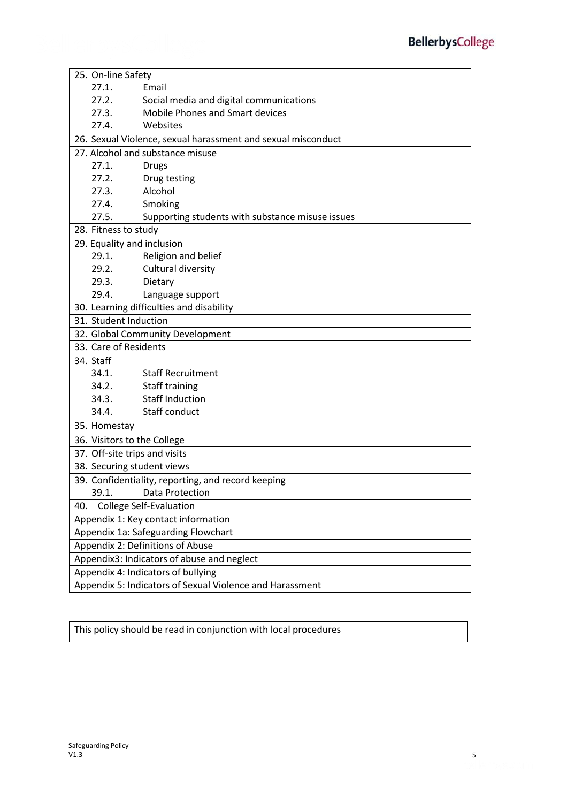|                                                          | 25. On-line Safety            |                                                              |  |
|----------------------------------------------------------|-------------------------------|--------------------------------------------------------------|--|
|                                                          | 27.1.                         | Email                                                        |  |
|                                                          | 27.2.                         | Social media and digital communications                      |  |
|                                                          | 27.3.                         | <b>Mobile Phones and Smart devices</b>                       |  |
|                                                          | 27.4.                         | Websites                                                     |  |
|                                                          |                               | 26. Sexual Violence, sexual harassment and sexual misconduct |  |
|                                                          |                               | 27. Alcohol and substance misuse                             |  |
|                                                          | 27.1.                         | <b>Drugs</b>                                                 |  |
|                                                          | 27.2.                         | Drug testing                                                 |  |
|                                                          | 27.3.                         | Alcohol                                                      |  |
|                                                          | 27.4.                         | Smoking                                                      |  |
|                                                          | 27.5.                         | Supporting students with substance misuse issues             |  |
|                                                          | 28. Fitness to study          |                                                              |  |
|                                                          | 29. Equality and inclusion    |                                                              |  |
|                                                          | 29.1.                         | Religion and belief                                          |  |
|                                                          | 29.2.                         | Cultural diversity                                           |  |
|                                                          | 29.3.                         | Dietary                                                      |  |
|                                                          | 29.4.                         | Language support                                             |  |
|                                                          |                               | 30. Learning difficulties and disability                     |  |
|                                                          | 31. Student Induction         |                                                              |  |
|                                                          |                               | 32. Global Community Development                             |  |
|                                                          | 33. Care of Residents         |                                                              |  |
|                                                          | 34. Staff                     |                                                              |  |
|                                                          | 34.1.                         | <b>Staff Recruitment</b>                                     |  |
|                                                          | 34.2.                         | <b>Staff training</b>                                        |  |
|                                                          | 34.3.                         | <b>Staff Induction</b>                                       |  |
|                                                          | 34.4.                         | Staff conduct                                                |  |
|                                                          | 35. Homestay                  |                                                              |  |
|                                                          | 36. Visitors to the College   |                                                              |  |
|                                                          | 37. Off-site trips and visits |                                                              |  |
|                                                          | 38. Securing student views    |                                                              |  |
|                                                          |                               | 39. Confidentiality, reporting, and record keeping           |  |
|                                                          | 39.1.                         | Data Protection                                              |  |
| <b>College Self-Evaluation</b><br>40.                    |                               |                                                              |  |
| Appendix 1: Key contact information                      |                               |                                                              |  |
| Appendix 1a: Safeguarding Flowchart                      |                               |                                                              |  |
| Appendix 2: Definitions of Abuse                         |                               |                                                              |  |
| Appendix3: Indicators of abuse and neglect               |                               |                                                              |  |
| Appendix 4: Indicators of bullying                       |                               |                                                              |  |
| Appendix 5: Indicators of Sexual Violence and Harassment |                               |                                                              |  |

This policy should be read in conjunction with local procedures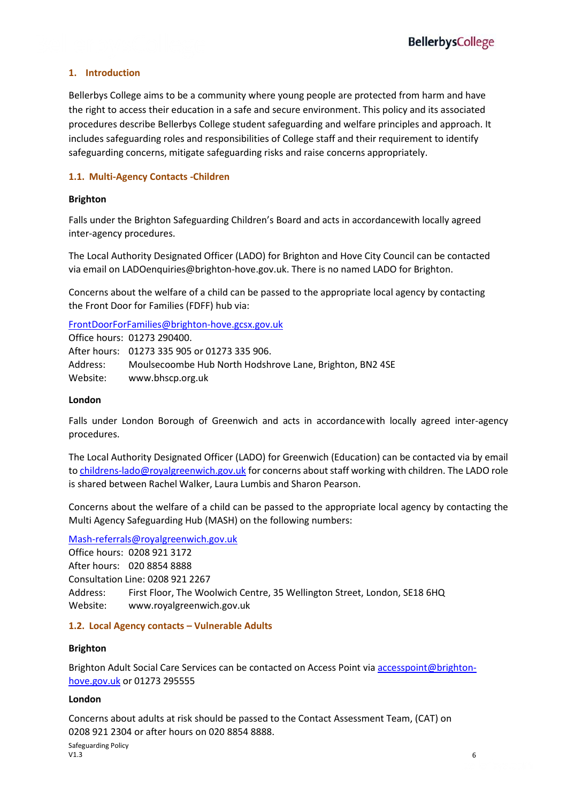### **1. Introduction**

Bellerbys College aims to be a community where young people are protected from harm and have the right to access their education in a safe and secure environment. This policy and its associated procedures describe Bellerbys College student safeguarding and welfare principles and approach. It includes safeguarding roles and responsibilities of College staff and their requirement to identify safeguarding concerns, mitigate safeguarding risks and raise concerns appropriately.

### **1.1. Multi-Agency Contacts -Children**

#### **Brighton**

Falls under the Brighton Safeguarding Children's Board and acts in accordancewith locally agreed inter-agency procedures.

The Local Authority Designated Officer (LADO) for Brighton and Hove City Council can be contacted via email on LADOenquiries@brighton-hove.gov.uk. There is no named LADO for Brighton.

Concerns about the welfare of a child can be passed to the appropriate local agency by contacting the Front Door for Families (FDFF) hub via:

[FrontDoorForFamilies@brighton-hove.gcsx.gov.uk](mailto:FrontDoorForFamilies@brighton-hove.gcsx.gov.uk) 

Office hours: 01273 290400. After hours: 01273 335 905 or 01273 335 906. Address: Moulsecoombe Hub North Hodshrove Lane, Brighton, BN2 4SE Website: www.bhscp.org.uk

#### **London**

Falls under London Borough of Greenwich and acts in accordancewith locally agreed inter-agency procedures.

The Local Authority Designated Officer (LADO) for Greenwich (Education) can be contacted via by email to [childrens-lado@royalgreenwich.gov.uk](mailto:childrens-lado@royalgreenwich.gov.uk) for concerns about staff working with children. The LADO role is shared between Rachel Walker, Laura Lumbis and Sharon Pearson.

Concerns about the welfare of a child can be passed to the appropriate local agency by contacting the Multi Agency Safeguarding Hub (MASH) on the following numbers:

### [Mash-referrals@royalgreenwich.gov.uk](mailto:Mash-referrals@royalgreenwich.gov.uk)

Office hours: 0208 921 3172 After hours: 020 8854 8888 Consultation Line: 0208 921 2267 Address: First Floor, The Woolwich Centre, 35 Wellington Street, London, SE18 6HQ Website: www.royalgreenwich.gov.uk

### **1.2. Local Agency contacts – Vulnerable Adults**

### **Brighton**

Brighton Adult Social Care Services can be contacted on Access Point vi[a accesspoint@brighton](mailto:accesspoint@brighton-hove.gov.uk)[hove.gov.uk](mailto:accesspoint@brighton-hove.gov.uk) or 01273 295555

#### **London**

Concerns about adults at risk should be passed to the Contact Assessment Team, (CAT) on 0208 921 2304 or after hours on 020 8854 8888.

Safeguarding Policy<br>V1.3  $V1.3$  6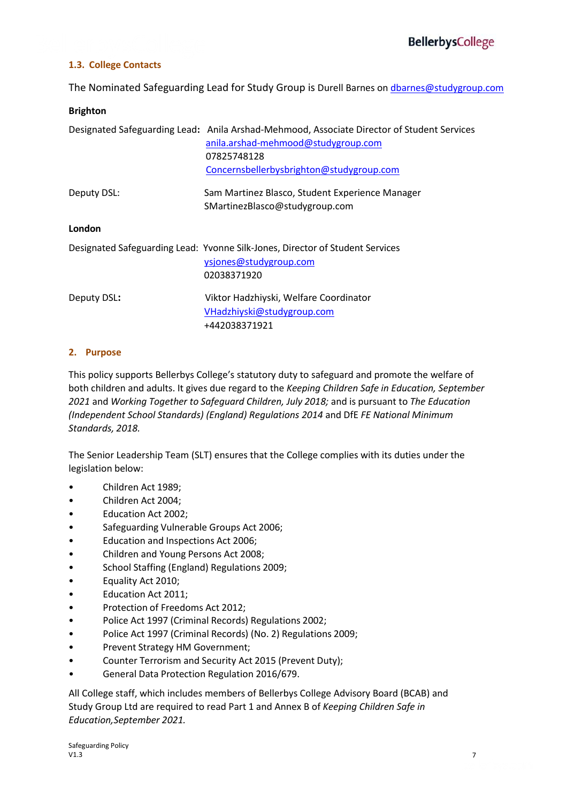#### **1.3. College Contacts**

The Nominated Safeguarding Lead for Study Group is Durell Barnes on [dbarnes@studygroup.com](mailto:dbarnes@studygroup.com)

#### **Brighton**

|             | Designated Safeguarding Lead: Anila Arshad-Mehmood, Associate Director of Student Services<br>anila.arshad-mehmood@studygroup.com<br>07825748128<br>Concernsbellerbysbrighton@studygroup.com |
|-------------|----------------------------------------------------------------------------------------------------------------------------------------------------------------------------------------------|
| Deputy DSL: | Sam Martinez Blasco, Student Experience Manager<br>SMartinezBlasco@studygroup.com                                                                                                            |
| London      |                                                                                                                                                                                              |
|             | Designated Safeguarding Lead: Yvonne Silk-Jones, Director of Student Services<br>ysjones@studygroup.com<br>02038371920                                                                       |
| Deputy DSL: | Viktor Hadzhiyski, Welfare Coordinator<br>VHadzhiyski@studygroup.com<br>+442038371921                                                                                                        |

#### **2. Purpose**

This policy supports Bellerbys College's statutory duty to safeguard and promote the welfare of both children and adults. It gives due regard to the *Keeping Children Safe in Education, September 2021* and *Working Together to Safeguard Children, July 2018;* and is pursuant to *The Education (Independent School Standards) (England) Regulations 2014* and DfE *FE National Minimum Standards, 2018.*

The Senior Leadership Team (SLT) ensures that the College complies with its duties under the legislation below:

- Children Act 1989;
- Children Act 2004;
- Education Act 2002;
- Safeguarding Vulnerable Groups Act 2006;
- Education and Inspections Act 2006;
- Children and Young Persons Act 2008;
- School Staffing (England) Regulations 2009;
- Equality Act 2010;
- Education Act 2011;
- Protection of Freedoms Act 2012;
- Police Act 1997 (Criminal Records) Regulations 2002;
- Police Act 1997 (Criminal Records) (No. 2) Regulations 2009;
- Prevent Strategy HM Government;
- Counter Terrorism and Security Act 2015 (Prevent Duty);
- General Data Protection Regulation 2016/679.

All College staff, which includes members of Bellerbys College Advisory Board (BCAB) and Study Group Ltd are required to read Part 1 and Annex B of *Keeping Children Safe in Education,September 2021.*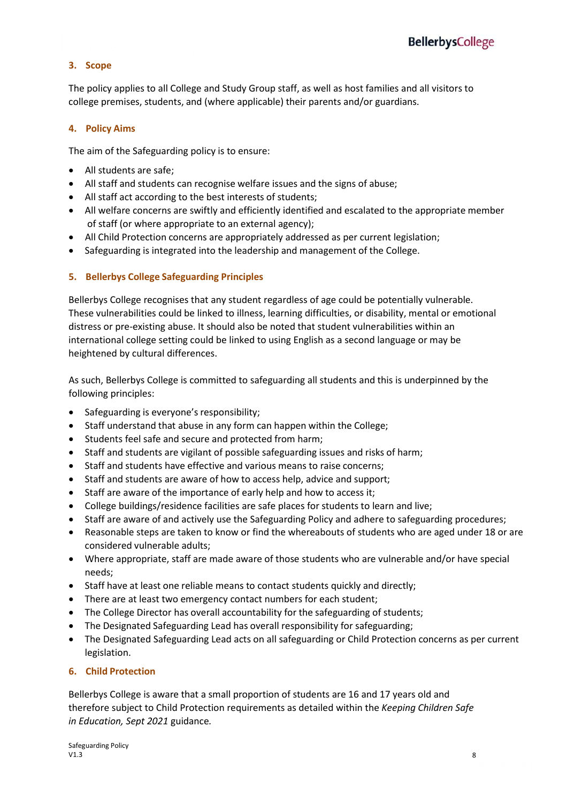### **3. Scope**

The policy applies to all College and Study Group staff, as well as host families and all visitors to college premises, students, and (where applicable) their parents and/or guardians.

#### **4. Policy Aims**

The aim of the Safeguarding policy is to ensure:

- All students are safe;
- All staff and students can recognise welfare issues and the signs of abuse;
- All staff act according to the best interests of students;
- All welfare concerns are swiftly and efficiently identified and escalated to the appropriate member of staff (or where appropriate to an external agency);
- All Child Protection concerns are appropriately addressed as per current legislation;
- Safeguarding is integrated into the leadership and management of the College.

#### **5. Bellerbys College Safeguarding Principles**

Bellerbys College recognises that any student regardless of age could be potentially vulnerable. These vulnerabilities could be linked to illness, learning difficulties, or disability, mental or emotional distress or pre-existing abuse. It should also be noted that student vulnerabilities within an international college setting could be linked to using English as a second language or may be heightened by cultural differences.

As such, Bellerbys College is committed to safeguarding all students and this is underpinned by the following principles:

- Safeguarding is everyone's responsibility;
- Staff understand that abuse in any form can happen within the College;
- Students feel safe and secure and protected from harm;
- Staff and students are vigilant of possible safeguarding issues and risks of harm;
- Staff and students have effective and various means to raise concerns;
- Staff and students are aware of how to access help, advice and support;
- Staff are aware of the importance of early help and how to access it;
- College buildings/residence facilities are safe places for students to learn and live;
- Staff are aware of and actively use the Safeguarding Policy and adhere to safeguarding procedures;
- Reasonable steps are taken to know or find the whereabouts of students who are aged under 18 or are considered vulnerable adults;
- Where appropriate, staff are made aware of those students who are vulnerable and/or have special needs;
- Staff have at least one reliable means to contact students quickly and directly;
- There are at least two emergency contact numbers for each student;
- The College Director has overall accountability for the safeguarding of students;
- The Designated Safeguarding Lead has overall responsibility for safeguarding;
- The Designated Safeguarding Lead acts on all safeguarding or Child Protection concerns as per current legislation.

#### **6. Child Protection**

Bellerbys College is aware that a small proportion of students are 16 and 17 years old and therefore subject to Child Protection requirements as detailed within the *Keeping Children Safe in Education, Sept 2021* guidance*.*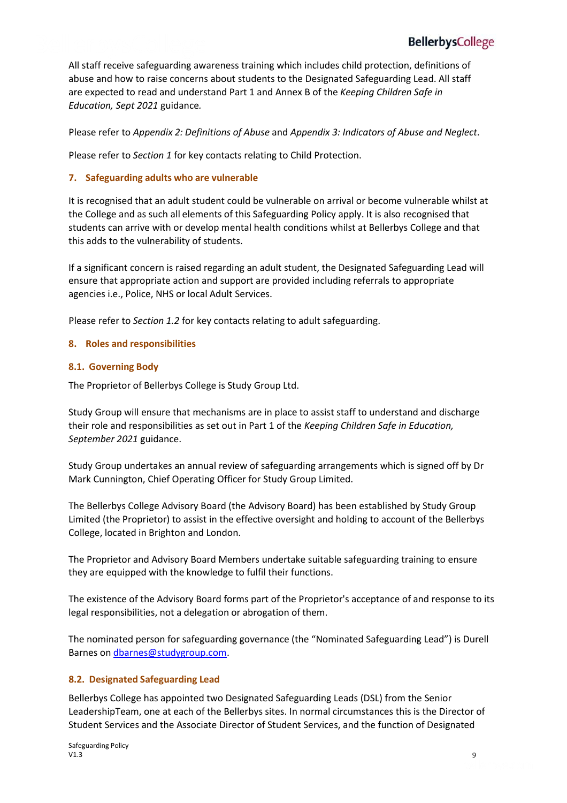All staff receive safeguarding awareness training which includes child protection, definitions of abuse and how to raise concerns about students to the Designated Safeguarding Lead. All staff are expected to read and understand Part 1 and Annex B of the *Keeping Children Safe in Education, Sept 2021* guidance*.*

Please refer to *Appendix 2: Definitions of Abuse* and *Appendix 3: Indicators of Abuse and Neglect*.

Please refer to *Section 1* for key contacts relating to Child Protection.

#### **7. Safeguarding adults who are vulnerable**

It is recognised that an adult student could be vulnerable on arrival or become vulnerable whilst at the College and as such all elements of this Safeguarding Policy apply. It is also recognised that students can arrive with or develop mental health conditions whilst at Bellerbys College and that this adds to the vulnerability of students.

If a significant concern is raised regarding an adult student, the Designated Safeguarding Lead will ensure that appropriate action and support are provided including referrals to appropriate agencies i.e., Police, NHS or local Adult Services.

Please refer to *Section 1.2* for key contacts relating to adult safeguarding.

#### **8. Roles and responsibilities**

#### **8.1. Governing Body**

The Proprietor of Bellerbys College is Study Group Ltd.

Study Group will ensure that mechanisms are in place to assist staff to understand and discharge their role and responsibilities as set out in Part 1 of the *Keeping Children Safe in Education, September 2021* guidance.

Study Group undertakes an annual review of safeguarding arrangements which is signed off by Dr Mark Cunnington, Chief Operating Officer for Study Group Limited.

The Bellerbys College Advisory Board (the Advisory Board) has been established by Study Group Limited (the Proprietor) to assist in the effective oversight and holding to account of the Bellerbys College, located in Brighton and London.

The Proprietor and Advisory Board Members undertake suitable safeguarding training to ensure they are equipped with the knowledge to fulfil their functions.

The existence of the Advisory Board forms part of the Proprietor's acceptance of and response to its legal responsibilities, not a delegation or abrogation of them.

The nominated person for safeguarding governance (the "Nominated Safeguarding Lead") is Durell Barnes on [dbarnes@studygroup.com.](mailto:dbarnes@studygroup.com)

#### **8.2. Designated Safeguarding Lead**

Bellerbys College has appointed two Designated Safeguarding Leads (DSL) from the Senior LeadershipTeam, one at each of the Bellerbys sites. In normal circumstances this is the Director of Student Services and the Associate Director of Student Services, and the function of Designated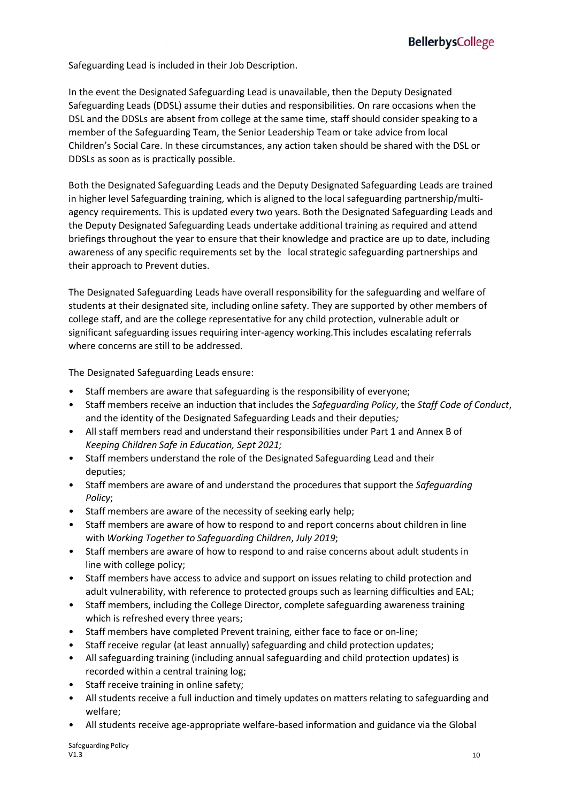Safeguarding Lead is included in their Job Description.

In the event the Designated Safeguarding Lead is unavailable, then the Deputy Designated Safeguarding Leads (DDSL) assume their duties and responsibilities. On rare occasions when the DSL and the DDSLs are absent from college at the same time, staff should consider speaking to a member of the Safeguarding Team, the Senior Leadership Team or take advice from local Children's Social Care. In these circumstances, any action taken should be shared with the DSL or DDSLs as soon as is practically possible.

Both the Designated Safeguarding Leads and the Deputy Designated Safeguarding Leads are trained in higher level Safeguarding training, which is aligned to the local safeguarding partnership/multiagency requirements. This is updated every two years. Both the Designated Safeguarding Leads and the Deputy Designated Safeguarding Leads undertake additional training as required and attend briefings throughout the year to ensure that their knowledge and practice are up to date, including awareness of any specific requirements set by the local strategic safeguarding partnerships and their approach to Prevent duties.

The Designated Safeguarding Leads have overall responsibility for the safeguarding and welfare of students at their designated site, including online safety. They are supported by other members of college staff, and are the college representative for any child protection, vulnerable adult or significant safeguarding issues requiring inter-agency working.This includes escalating referrals where concerns are still to be addressed.

The Designated Safeguarding Leads ensure:

- Staff members are aware that safeguarding is the responsibility of everyone;
- Staff members receive an induction that includes the *Safeguarding Policy*, the *Staff Code of Conduct*, and the identity of the Designated Safeguarding Leads and their deputies*;*
- All staff members read and understand their responsibilities under Part 1 and Annex B of *Keeping Children Safe in Education, Sept 2021;*
- Staff members understand the role of the Designated Safeguarding Lead and their deputies;
- Staff members are aware of and understand the procedures that support the *Safeguarding Policy*;
- Staff members are aware of the necessity of seeking early help;
- Staff members are aware of how to respond to and report concerns about children in line with *Working Together to Safeguarding Children*, *July 2019*;
- Staff members are aware of how to respond to and raise concerns about adult students in line with college policy;
- Staff members have access to advice and support on issues relating to child protection and adult vulnerability, with reference to protected groups such as learning difficulties and EAL;
- Staff members, including the College Director, complete safeguarding awareness training which is refreshed every three years;
- Staff members have completed Prevent training, either face to face or on-line;
- Staff receive regular (at least annually) safeguarding and child protection updates;
- All safeguarding training (including annual safeguarding and child protection updates) is recorded within a central training log;
- Staff receive training in online safety;
- All students receive a full induction and timely updates on matters relating to safeguarding and welfare;
- All students receive age-appropriate welfare-based information and guidance via the Global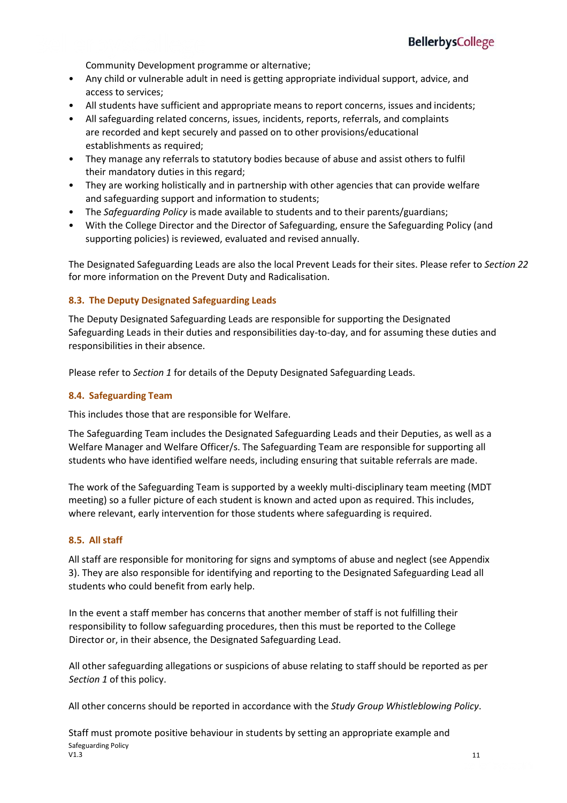Community Development programme or alternative;

- Any child or vulnerable adult in need is getting appropriate individual support, advice, and access to services;
- All students have sufficient and appropriate means to report concerns, issues and incidents;
- All safeguarding related concerns, issues, incidents, reports, referrals, and complaints are recorded and kept securely and passed on to other provisions/educational establishments as required:
- They manage any referrals to statutory bodies because of abuse and assist others to fulfil their mandatory duties in this regard;
- They are working holistically and in partnership with other agencies that can provide welfare and safeguarding support and information to students;
- The *Safeguarding Policy* is made available to students and to their parents/guardians;
- With the College Director and the Director of Safeguarding, ensure the Safeguarding Policy (and supporting policies) is reviewed, evaluated and revised annually.

The Designated Safeguarding Leads are also the local Prevent Leads for their sites. Please refer to *Section 22* for more information on the Prevent Duty and Radicalisation.

#### **8.3. The Deputy Designated Safeguarding Leads**

The Deputy Designated Safeguarding Leads are responsible for supporting the Designated Safeguarding Leads in their duties and responsibilities day-to-day, and for assuming these duties and responsibilities in their absence.

Please refer to *Section 1* for details of the Deputy Designated Safeguarding Leads.

#### **8.4. Safeguarding Team**

This includes those that are responsible for Welfare.

The Safeguarding Team includes the Designated Safeguarding Leads and their Deputies, as well as a Welfare Manager and Welfare Officer/s. The Safeguarding Team are responsible for supporting all students who have identified welfare needs, including ensuring that suitable referrals are made.

The work of the Safeguarding Team is supported by a weekly multi-disciplinary team meeting (MDT meeting) so a fuller picture of each student is known and acted upon as required. This includes, where relevant, early intervention for those students where safeguarding is required.

#### **8.5. All staff**

All staff are responsible for monitoring for signs and symptoms of abuse and neglect (see Appendix 3). They are also responsible for identifying and reporting to the Designated Safeguarding Lead all students who could benefit from early help.

In the event a staff member has concerns that another member of staff is not fulfilling their responsibility to follow safeguarding procedures, then this must be reported to the College Director or, in their absence, the Designated Safeguarding Lead.

All other safeguarding allegations or suspicions of abuse relating to staff should be reported as per *Section 1* of this policy.

All other concerns should be reported in accordance with the *Study Group Whistleblowing Policy*.

Safeguarding Policy<br>V1.3  $V1.3$  and  $V1.3$  and  $V2.3$  and  $V3.3$  and  $V4.3$  and  $V5.3$  and  $V4.3$  and  $V5.3$  and  $V4.3$  and  $V5.3$  and  $V6.3$  and  $V7.3$  and  $V8.3$  and  $V9.3$  and  $V9.3$  and  $V1.3$  and  $V1.3$  and  $V1.3$  and  $V1.3$  and  $V2.3$  and Staff must promote positive behaviour in students by setting an appropriate example and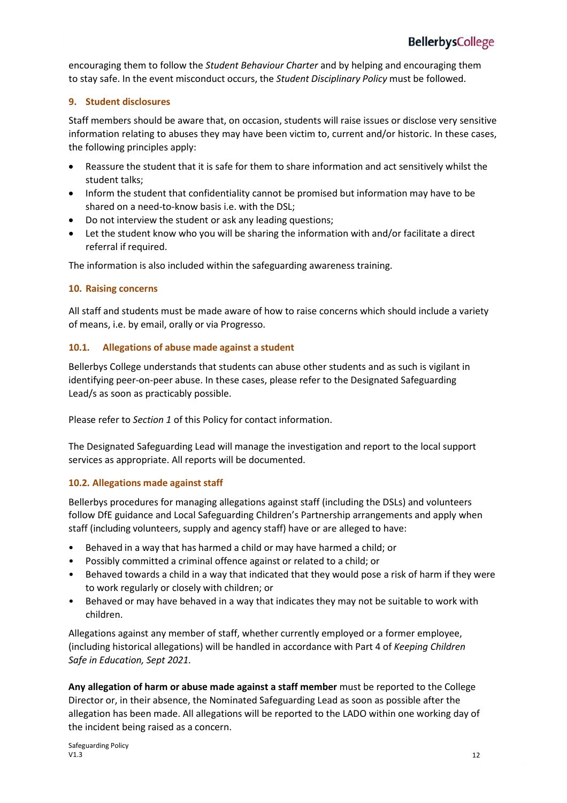encouraging them to follow the *Student Behaviour Charter* and by helping and encouraging them to stay safe. In the event misconduct occurs, the *Student Disciplinary Policy* must be followed.

#### **9. Student disclosures**

Staff members should be aware that, on occasion, students will raise issues or disclose very sensitive information relating to abuses they may have been victim to, current and/or historic. In these cases, the following principles apply:

- Reassure the student that it is safe for them to share information and act sensitively whilst the student talks;
- Inform the student that confidentiality cannot be promised but information may have to be shared on a need-to-know basis i.e. with the DSL;
- Do not interview the student or ask any leading questions;
- Let the student know who you will be sharing the information with and/or facilitate a direct referral if required.

The information is also included within the safeguarding awareness training.

#### **10. Raising concerns**

All staff and students must be made aware of how to raise concerns which should include a variety of means, i.e. by email, orally or via Progresso.

#### **10.1. Allegations of abuse made against a student**

Bellerbys College understands that students can abuse other students and as such is vigilant in identifying peer-on-peer abuse. In these cases, please refer to the Designated Safeguarding Lead/s as soon as practicably possible.

Please refer to *Section 1* of this Policy for contact information.

The Designated Safeguarding Lead will manage the investigation and report to the local support services as appropriate. All reports will be documented.

#### **10.2. Allegations made against staff**

Bellerbys procedures for managing allegations against staff (including the DSLs) and volunteers follow DfE guidance and Local Safeguarding Children's Partnership arrangements and apply when staff (including volunteers, supply and agency staff) have or are alleged to have:

- Behaved in a way that has harmed a child or may have harmed a child; or
- Possibly committed a criminal offence against or related to a child; or
- Behaved towards a child in a way that indicated that they would pose a risk of harm if they were to work regularly or closely with children; or
- Behaved or may have behaved in a way that indicates they may not be suitable to work with children.

Allegations against any member of staff, whether currently employed or a former employee, (including historical allegations) will be handled in accordance with Part 4 of *Keeping Children Safe in Education, Sept 2021.*

**Any allegation of harm or abuse made against a staff member** must be reported to the College Director or, in their absence, the Nominated Safeguarding Lead as soon as possible after the allegation has been made. All allegations will be reported to the LADO within one working day of the incident being raised as a concern.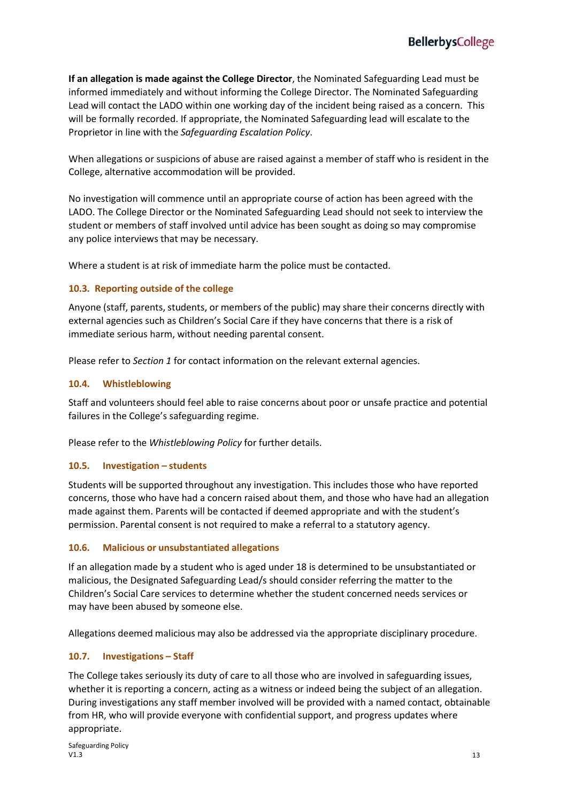**If an allegation is made against the College Director**, the Nominated Safeguarding Lead must be informed immediately and without informing the College Director. The Nominated Safeguarding Lead will contact the LADO within one working day of the incident being raised as a concern. This will be formally recorded. If appropriate, the Nominated Safeguarding lead will escalate to the Proprietor in line with the *Safeguarding Escalation Policy*.

When allegations or suspicions of abuse are raised against a member of staff who is resident in the College, alternative accommodation will be provided.

No investigation will commence until an appropriate course of action has been agreed with the LADO. The College Director or the Nominated Safeguarding Lead should not seek to interview the student or members of staff involved until advice has been sought as doing so may compromise any police interviews that may be necessary.

Where a student is at risk of immediate harm the police must be contacted.

#### **10.3. Reporting outside of the college**

Anyone (staff, parents, students, or members of the public) may share their concerns directly with external agencies such as Children's Social Care if they have concerns that there is a risk of immediate serious harm, without needing parental consent.

Please refer to *Section 1* for contact information on the relevant external agencies.

#### **10.4. Whistleblowing**

Staff and volunteers should feel able to raise concerns about poor or unsafe practice and potential failures in the College's safeguarding regime.

Please refer to the *Whistleblowing Policy* for further details.

#### **10.5. Investigation – students**

Students will be supported throughout any investigation. This includes those who have reported concerns, those who have had a concern raised about them, and those who have had an allegation made against them. Parents will be contacted if deemed appropriate and with the student's permission. Parental consent is not required to make a referral to a statutory agency.

#### **10.6. Malicious or unsubstantiated allegations**

If an allegation made by a student who is aged under 18 is determined to be unsubstantiated or malicious, the Designated Safeguarding Lead/s should consider referring the matter to the Children's Social Care services to determine whether the student concerned needs services or may have been abused by someone else.

Allegations deemed malicious may also be addressed via the appropriate disciplinary procedure.

#### **10.7. Investigations – Staff**

The College takes seriously its duty of care to all those who are involved in safeguarding issues, whether it is reporting a concern, acting as a witness or indeed being the subject of an allegation. During investigations any staff member involved will be provided with a named contact, obtainable from HR, who will provide everyone with confidential support, and progress updates where appropriate.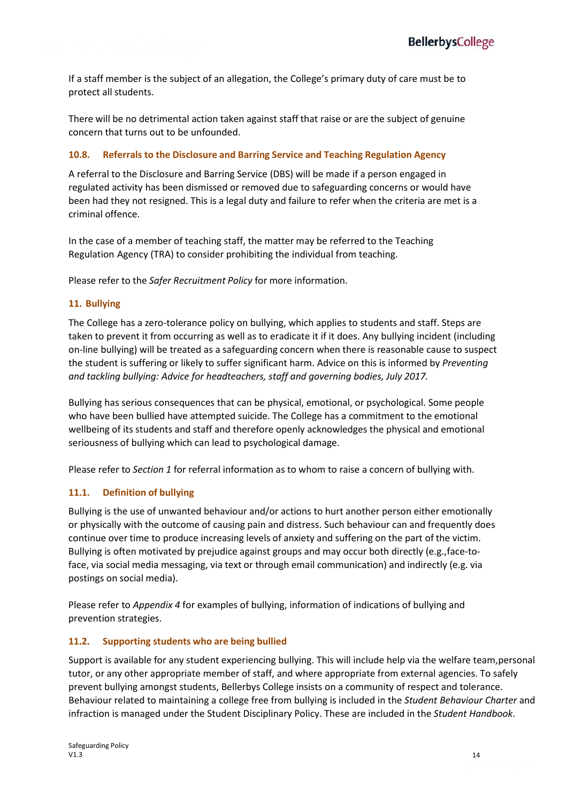If a staff member is the subject of an allegation, the College's primary duty of care must be to protect all students.

There will be no detrimental action taken against staff that raise or are the subject of genuine concern that turns out to be unfounded.

#### **10.8. Referrals to the Disclosure and Barring Service and Teaching Regulation Agency**

A referral to the Disclosure and Barring Service (DBS) will be made if a person engaged in regulated activity has been dismissed or removed due to safeguarding concerns or would have been had they not resigned. This is a legal duty and failure to refer when the criteria are met is a criminal offence.

In the case of a member of teaching staff, the matter may be referred to the Teaching Regulation Agency (TRA) to consider prohibiting the individual from teaching.

Please refer to the *Safer Recruitment Policy* for more information.

#### **11. Bullying**

The College has a zero-tolerance policy on bullying, which applies to students and staff. Steps are taken to prevent it from occurring as well as to eradicate it if it does. Any bullying incident (including on-line bullying) will be treated as a safeguarding concern when there is reasonable cause to suspect the student is suffering or likely to suffer significant harm. Advice on this is informed by *Preventing and tackling bullying: Advice for headteachers, staff and governing bodies, July 2017.*

Bullying has serious consequences that can be physical, emotional, or psychological. Some people who have been bullied have attempted suicide. The College has a commitment to the emotional wellbeing of its students and staff and therefore openly acknowledges the physical and emotional seriousness of bullying which can lead to psychological damage.

Please refer to *Section 1* for referral information as to whom to raise a concern of bullying with.

#### **11.1. Definition of bullying**

Bullying is the use of unwanted behaviour and/or actions to hurt another person either emotionally or physically with the outcome of causing pain and distress. Such behaviour can and frequently does continue over time to produce increasing levels of anxiety and suffering on the part of the victim. Bullying is often motivated by prejudice against groups and may occur both directly (e.g.,face-toface, via social media messaging, via text or through email communication) and indirectly (e.g. via postings on social media).

Please refer to *Appendix 4* for examples of bullying, information of indications of bullying and prevention strategies.

#### **11.2. Supporting students who are being bullied**

Support is available for any student experiencing bullying. This will include help via the welfare team,personal tutor, or any other appropriate member of staff, and where appropriate from external agencies. To safely prevent bullying amongst students, Bellerbys College insists on a community of respect and tolerance. Behaviour related to maintaining a college free from bullying is included in the *Student Behaviour Charter* and infraction is managed under the Student Disciplinary Policy. These are included in the *Student Handbook*.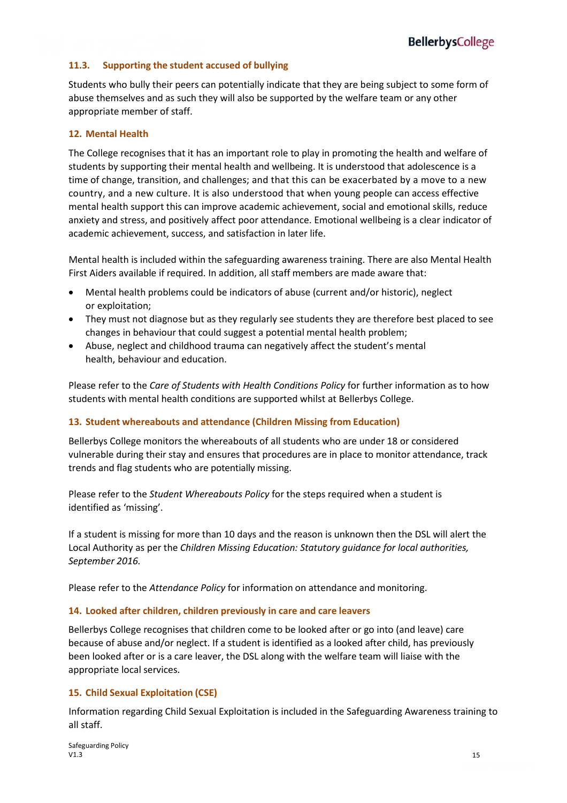#### **11.3. Supporting the student accused of bullying**

Students who bully their peers can potentially indicate that they are being subject to some form of abuse themselves and as such they will also be supported by the welfare team or any other appropriate member of staff.

#### **12. Mental Health**

The College recognises that it has an important role to play in promoting the health and welfare of students by supporting their mental health and wellbeing. It is understood that adolescence is a time of change, transition, and challenges; and that this can be exacerbated by a move to a new country, and a new culture. It is also understood that when young people can access effective mental health support this can improve academic achievement, social and emotional skills, reduce anxiety and stress, and positively affect poor attendance. Emotional wellbeing is a clear indicator of academic achievement, success, and satisfaction in later life.

Mental health is included within the safeguarding awareness training. There are also Mental Health First Aiders available if required. In addition, all staff members are made aware that:

- Mental health problems could be indicators of abuse (current and/or historic), neglect or exploitation;
- They must not diagnose but as they regularly see students they are therefore best placed to see changes in behaviour that could suggest a potential mental health problem;
- Abuse, neglect and childhood trauma can negatively affect the student's mental health, behaviour and education.

Please refer to the *Care of Students with Health Conditions Policy* for further information as to how students with mental health conditions are supported whilst at Bellerbys College.

#### **13. Student whereabouts and attendance (Children Missing from Education)**

Bellerbys College monitors the whereabouts of all students who are under 18 or considered vulnerable during their stay and ensures that procedures are in place to monitor attendance, track trends and flag students who are potentially missing.

Please refer to the *Student Whereabouts Policy* for the steps required when a student is identified as 'missing'.

If a student is missing for more than 10 days and the reason is unknown then the DSL will alert the Local Authority as per the *Children Missing Education: Statutory guidance for local authorities, September 2016.*

Please refer to the *Attendance Policy* for information on attendance and monitoring.

#### **14. Looked after children, children previously in care and care leavers**

Bellerbys College recognises that children come to be looked after or go into (and leave) care because of abuse and/or neglect. If a student is identified as a looked after child, has previously been looked after or is a care leaver, the DSL along with the welfare team will liaise with the appropriate local services.

#### **15. Child Sexual Exploitation (CSE)**

Information regarding Child Sexual Exploitation is included in the Safeguarding Awareness training to all staff.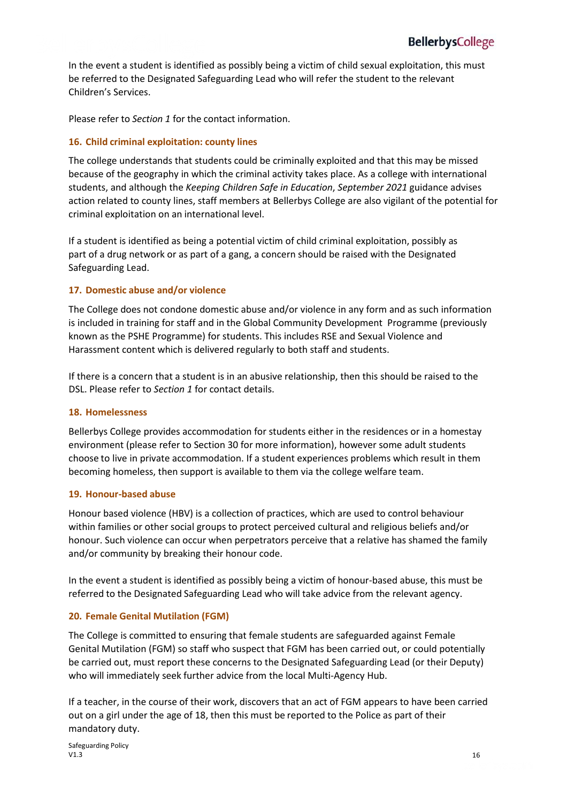In the event a student is identified as possibly being a victim of child sexual exploitation, this must be referred to the Designated Safeguarding Lead who will refer the student to the relevant Children's Services.

Please refer to *Section 1* for the contact information.

#### **16. Child criminal exploitation: county lines**

The college understands that students could be criminally exploited and that this may be missed because of the geography in which the criminal activity takes place. As a college with international students, and although the *Keeping Children Safe in Education*, *September 2021* guidance advises action related to county lines, staff members at Bellerbys College are also vigilant of the potential for criminal exploitation on an international level.

If a student is identified as being a potential victim of child criminal exploitation, possibly as part of a drug network or as part of a gang, a concern should be raised with the Designated Safeguarding Lead.

#### **17. Domestic abuse and/or violence**

The College does not condone domestic abuse and/or violence in any form and as such information is included in training for staff and in the Global Community Development Programme (previously known as the PSHE Programme) for students. This includes RSE and Sexual Violence and Harassment content which is delivered regularly to both staff and students.

If there is a concern that a student is in an abusive relationship, then this should be raised to the DSL. Please refer to *Section 1* for contact details.

#### **18. Homelessness**

Bellerbys College provides accommodation for students either in the residences or in a homestay environment (please refer to Section 30 for more information), however some adult students choose to live in private accommodation. If a student experiences problems which result in them becoming homeless, then support is available to them via the college welfare team.

#### **19. Honour-based abuse**

Honour based violence (HBV) is a collection of practices, which are used to control behaviour within families or other social groups to protect perceived cultural and religious beliefs and/or honour. Such violence can occur when perpetrators perceive that a relative has shamed the family and/or community by breaking their honour code.

In the event a student is identified as possibly being a victim of honour-based abuse, this must be referred to the Designated Safeguarding Lead who will take advice from the relevant agency.

#### **20. Female Genital Mutilation (FGM)**

The College is committed to ensuring that female students are safeguarded against Female Genital Mutilation (FGM) so staff who suspect that FGM has been carried out, or could potentially be carried out, must report these concerns to the Designated Safeguarding Lead (or their Deputy) who will immediately seek further advice from the local Multi-Agency Hub.

If a teacher, in the course of their work, discovers that an act of FGM appears to have been carried out on a girl under the age of 18, then this must be reported to the Police as part of their mandatory duty.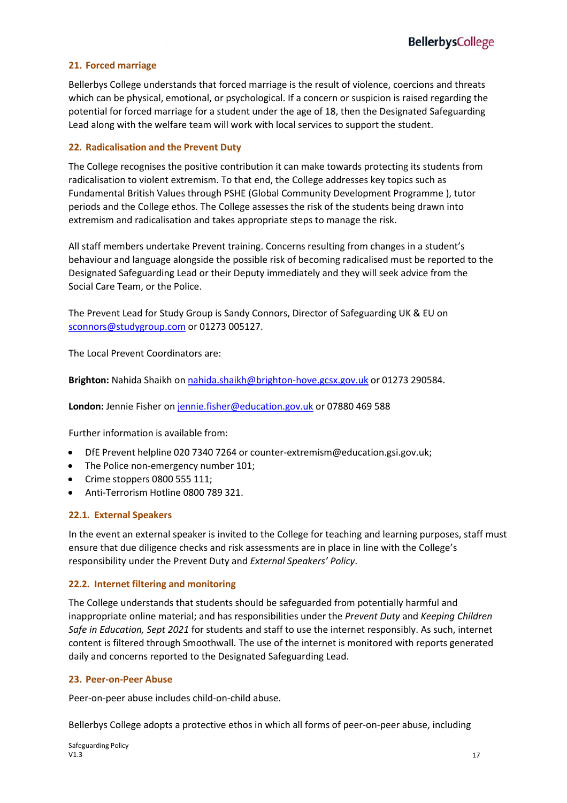### **21. Forced marriage**

Bellerbys College understands that forced marriage is the result of violence, coercions and threats which can be physical, emotional, or psychological. If a concern or suspicion is raised regarding the potential for forced marriage for a student under the age of 18, then the Designated Safeguarding Lead along with the welfare team will work with local services to support the student.

#### **22. Radicalisation and the Prevent Duty**

The College recognises the positive contribution it can make towards protecting its students from radicalisation to violent extremism. To that end, the College addresses key topics such as Fundamental British Values through PSHE (Global Community Development Programme ), tutor periods and the College ethos. The College assesses the risk of the students being drawn into extremism and radicalisation and takes appropriate steps to manage the risk.

All staff members undertake Prevent training. Concerns resulting from changes in a student's behaviour and language alongside the possible risk of becoming radicalised must be reported to the Designated Safeguarding Lead or their Deputy immediately and they will seek advice from the Social Care Team, or the Police.

The Prevent Lead for Study Group is Sandy Connors, Director of Safeguarding UK & EU on [sconnors@studygroup.com](mailto:sconnors@studygroup.com) or 01273 005127.

The Local Prevent Coordinators are:

**Brighton:** Nahida Shaikh on [nahida.shaikh@brighton-hove.gcsx.gov.uk](mailto:nahida.shaikh@brighton-hove.gcsx.gov.uk) or 01273 290584.

**London:** Jennie Fisher on [jennie.fisher@education.gov.uk](mailto:jennie.fisher@education.gov.uk) or 07880 469 588

Further information is available from:

- DfE Prevent helpline 020 7340 7264 or [counter-extremism@education.gsi.gov.uk;](mailto:counter-extremism@education.gsi.gov.uk)
- The Police non-emergency number 101;
- Crime stoppers 0800 555 111;
- Anti-Terrorism Hotline 0800 789 321.

### **22.1. External Speakers**

In the event an external speaker is invited to the College for teaching and learning purposes, staff must ensure that due diligence checks and risk assessments are in place in line with the College's responsibility under the Prevent Duty and *External Speakers' Policy*.

### **22.2. Internet filtering and monitoring**

The College understands that students should be safeguarded from potentially harmful and inappropriate online material; and has responsibilities under the *Prevent Duty* and *Keeping Children Safe in Education, Sept 2021* for students and staff to use the internet responsibly. As such, internet content is filtered through Smoothwall. The use of the internet is monitored with reports generated daily and concerns reported to the Designated Safeguarding Lead.

#### **23. Peer-on-Peer Abuse**

Peer-on-peer abuse includes child-on-child abuse.

Bellerbys College adopts a protective ethos in which all forms of peer-on-peer abuse, including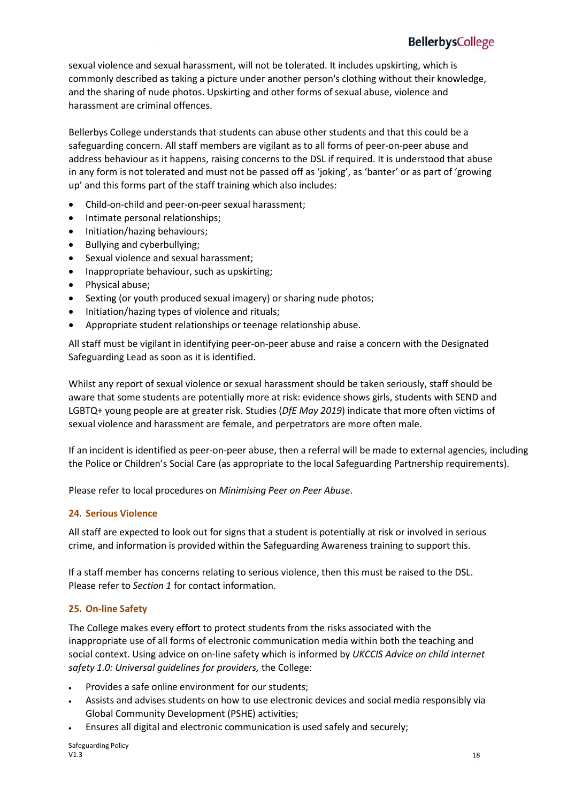sexual violence and sexual harassment, will not be tolerated. It includes upskirting, which is commonly described as taking a picture under another person's clothing without their knowledge, and the sharing of nude photos. Upskirting and other forms of sexual abuse, violence and harassment are criminal offences.

Bellerbys College understands that students can abuse other students and that this could be a safeguarding concern. All staff members are vigilant as to all forms of peer-on-peer abuse and address behaviour as it happens, raising concerns to the DSL if required. It is understood that abuse in any form is not tolerated and must not be passed off as 'joking', as 'banter' or as part of 'growing up' and this forms part of the staff training which also includes:

- Child-on-child and peer-on-peer sexual harassment;
- Intimate personal relationships;
- Initiation/hazing behaviours;
- Bullying and cyberbullying;
- Sexual violence and sexual harassment;
- Inappropriate behaviour, such as upskirting;
- Physical abuse;
- Sexting (or youth produced sexual imagery) or sharing nude photos;
- Initiation/hazing types of violence and rituals;
- Appropriate student relationships or teenage relationship abuse.

All staff must be vigilant in identifying peer-on-peer abuse and raise a concern with the Designated Safeguarding Lead as soon as it is identified.

Whilst any report of sexual violence or sexual harassment should be taken seriously, staff should be aware that some students are potentially more at risk: evidence shows girls, students with SEND and LGBTQ+ young people are at greater risk. Studies (*DfE May 2019*) indicate that more often victims of sexual violence and harassment are female, and perpetrators are more often male.

If an incident is identified as peer-on-peer abuse, then a referral will be made to external agencies, including the Police or Children's Social Care (as appropriate to the local Safeguarding Partnership requirements).

Please refer to local procedures on *Minimising Peer on Peer Abuse*.

#### **24. Serious Violence**

All staff are expected to look out for signs that a student is potentially at risk or involved in serious crime, and information is provided within the Safeguarding Awareness training to support this.

If a staff member has concerns relating to serious violence, then this must be raised to the DSL. Please refer to *Section 1* for contact information.

#### **25. On-line Safety**

The College makes every effort to protect students from the risks associated with the inappropriate use of all forms of electronic communication media within both the teaching and social context. Using advice on on-line safety which is informed by *UKCCIS Advice on child internet safety 1.0: Universal guidelines for providers,* the College:

- Provides a safe online environment for our students;
- Assists and advises students on how to use electronic devices and social media responsibly via Global Community Development (PSHE) activities;
- Ensures all digital and electronic communication is used safely and securely;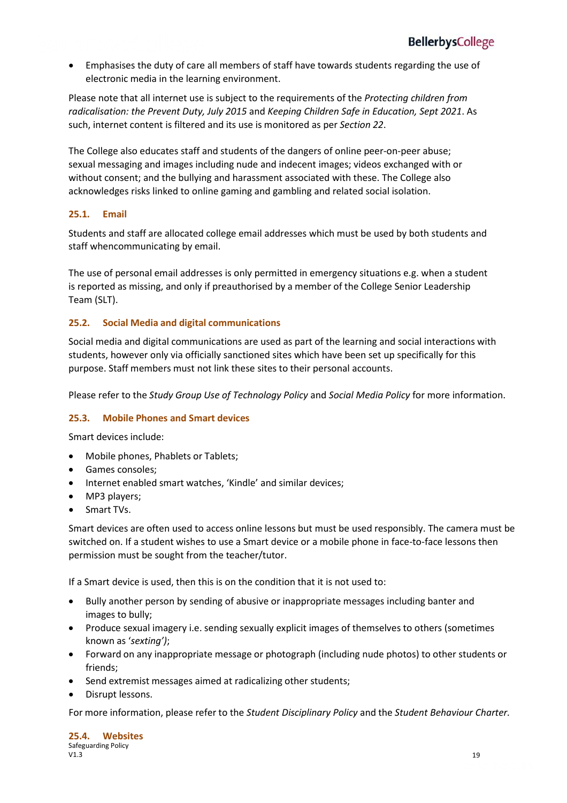• Emphasises the duty of care all members of staff have towards students regarding the use of electronic media in the learning environment.

Please note that all internet use is subject to the requirements of the *Protecting children from radicalisation: the Prevent Duty, July 2015* and *Keeping Children Safe in Education, Sept 2021*. As such, internet content is filtered and its use is monitored as per *Section 22*.

The College also educates staff and students of the dangers of online peer-on-peer abuse; sexual messaging and images including nude and indecent images; videos exchanged with or without consent; and the bullying and harassment associated with these. The College also acknowledges risks linked to online gaming and gambling and related social isolation.

#### **25.1. Email**

Students and staff are allocated college email addresses which must be used by both students and staff whencommunicating by email.

The use of personal email addresses is only permitted in emergency situations e.g. when a student is reported as missing, and only if preauthorised by a member of the College Senior Leadership Team (SLT).

#### **25.2. Social Media and digital communications**

Social media and digital communications are used as part of the learning and social interactions with students, however only via officially sanctioned sites which have been set up specifically for this purpose. Staff members must not link these sites to their personal accounts.

Please refer to the *Study Group Use of Technology Policy* and *Social Media Policy* for more information.

#### **25.3. Mobile Phones and Smart devices**

Smart devices include:

- Mobile phones, Phablets or Tablets;
- Games consoles;
- Internet enabled smart watches, 'Kindle' and similar devices;
- MP3 players;
- Smart TVs.

Smart devices are often used to access online lessons but must be used responsibly. The camera must be switched on. If a student wishes to use a Smart device or a mobile phone in face-to-face lessons then permission must be sought from the teacher/tutor.

If a Smart device is used, then this is on the condition that it is not used to:

- Bully another person by sending of abusive or inappropriate messages including banter and images to bully;
- Produce sexual imagery i.e. sending sexually explicit images of themselves to others (sometimes known as '*sexting')*;
- Forward on any inappropriate message or photograph (including nude photos) to other students or friends;
- Send extremist messages aimed at radicalizing other students;
- Disrupt lessons.

For more information, please refer to the *Student Disciplinary Policy* and the *Student Behaviour Charter.*

|      | 25.4. Websites      |    |
|------|---------------------|----|
|      | Safeguarding Policy |    |
| V1.3 |                     | 19 |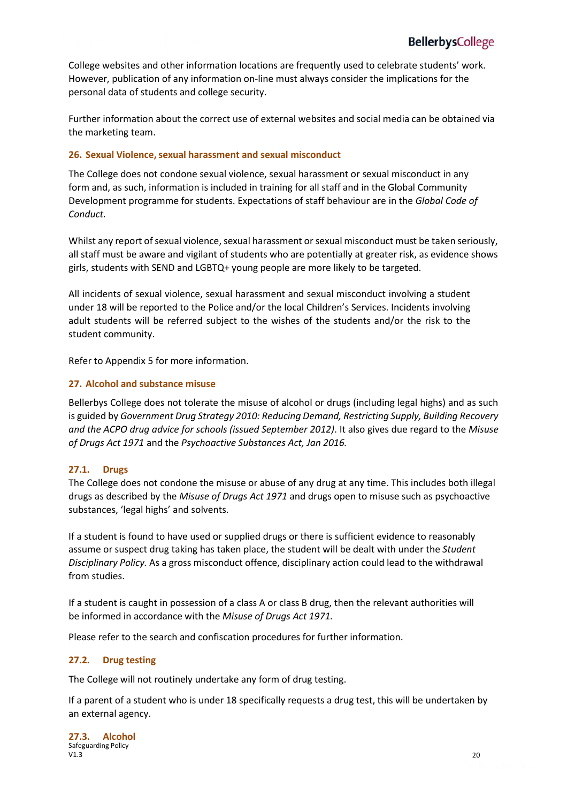College websites and other information locations are frequently used to celebrate students' work. However, publication of any information on-line must always consider the implications for the personal data of students and college security.

Further information about the correct use of external websites and social media can be obtained via the marketing team.

#### **26. Sexual Violence, sexual harassment and sexual misconduct**

The College does not condone sexual violence, sexual harassment or sexual misconduct in any form and, as such, information is included in training for all staff and in the Global Community Development programme for students. Expectations of staff behaviour are in the *Global Code of Conduct.*

Whilst any report of sexual violence, sexual harassment or sexual misconduct must be taken seriously, all staff must be aware and vigilant of students who are potentially at greater risk, as evidence shows girls, students with SEND and LGBTQ+ young people are more likely to be targeted.

All incidents of sexual violence, sexual harassment and sexual misconduct involving a student under 18 will be reported to the Police and/or the local Children's Services. Incidents involving adult students will be referred subject to the wishes of the students and/or the risk to the student community.

Refer to Appendix 5 for more information.

#### **27. Alcohol and substance misuse**

Bellerbys College does not tolerate the misuse of alcohol or drugs (including legal highs) and as such is guided by *Government Drug Strategy 2010: Reducing Demand, Restricting Supply, Building Recovery and the ACPO drug advice for schools (issued September 2012)*. It also gives due regard to the *Misuse of Drugs Act 1971* and the *Psychoactive Substances Act, Jan 2016.*

#### **27.1. Drugs**

The College does not condone the misuse or abuse of any drug at any time. This includes both illegal drugs as described by the *Misuse of Drugs Act 1971* and drugs open to misuse such as psychoactive substances, 'legal highs' and solvents.

If a student is found to have used or supplied drugs or there is sufficient evidence to reasonably assume or suspect drug taking has taken place, the student will be dealt with under the *Student Disciplinary Policy.* As a gross misconduct offence, disciplinary action could lead to the withdrawal from studies.

If a student is caught in possession of a class A or class B drug, then the relevant authorities will be informed in accordance with the *Misuse of Drugs Act 1971.*

Please refer to the search and confiscation procedures for further information.

#### **27.2. Drug testing**

The College will not routinely undertake any form of drug testing.

If a parent of a student who is under 18 specifically requests a drug test, this will be undertaken by an external agency.

|      | 27.3. Alcohol       |    |
|------|---------------------|----|
|      | Safeguarding Policy |    |
| V1.3 |                     | 20 |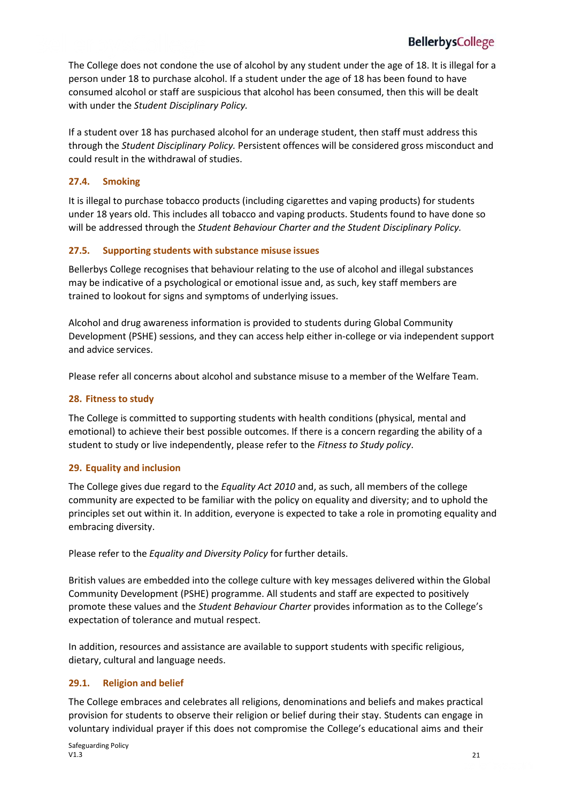The College does not condone the use of alcohol by any student under the age of 18. It is illegal for a person under 18 to purchase alcohol. If a student under the age of 18 has been found to have consumed alcohol or staff are suspicious that alcohol has been consumed, then this will be dealt with under the *Student Disciplinary Policy.*

If a student over 18 has purchased alcohol for an underage student, then staff must address this through the *Student Disciplinary Policy.* Persistent offences will be considered gross misconduct and could result in the withdrawal of studies.

#### **27.4. Smoking**

It is illegal to purchase tobacco products (including cigarettes and vaping products) for students under 18 years old. This includes all tobacco and vaping products. Students found to have done so will be addressed through the *Student Behaviour Charter and the Student Disciplinary Policy.*

#### **27.5. Supporting students with substance misuse issues**

Bellerbys College recognises that behaviour relating to the use of alcohol and illegal substances may be indicative of a psychological or emotional issue and, as such, key staff members are trained to lookout for signs and symptoms of underlying issues.

Alcohol and drug awareness information is provided to students during Global Community Development (PSHE) sessions, and they can access help either in-college or via independent support and advice services.

Please refer all concerns about alcohol and substance misuse to a member of the Welfare Team.

#### **28. Fitness to study**

The College is committed to supporting students with health conditions (physical, mental and emotional) to achieve their best possible outcomes. If there is a concern regarding the ability of a student to study or live independently, please refer to the *Fitness to Study policy*.

#### **29. Equality and inclusion**

The College gives due regard to the *Equality Act 2010* and, as such, all members of the college community are expected to be familiar with the policy on equality and diversity; and to uphold the principles set out within it. In addition, everyone is expected to take a role in promoting equality and embracing diversity.

Please refer to the *Equality and Diversity Policy* for further details.

British values are embedded into the college culture with key messages delivered within the Global Community Development (PSHE) programme. All students and staff are expected to positively promote these values and the *Student Behaviour Charter* provides information as to the College's expectation of tolerance and mutual respect.

In addition, resources and assistance are available to support students with specific religious, dietary, cultural and language needs.

#### **29.1. Religion and belief**

The College embraces and celebrates all religions, denominations and beliefs and makes practical provision for students to observe their religion or belief during their stay. Students can engage in voluntary individual prayer if this does not compromise the College's educational aims and their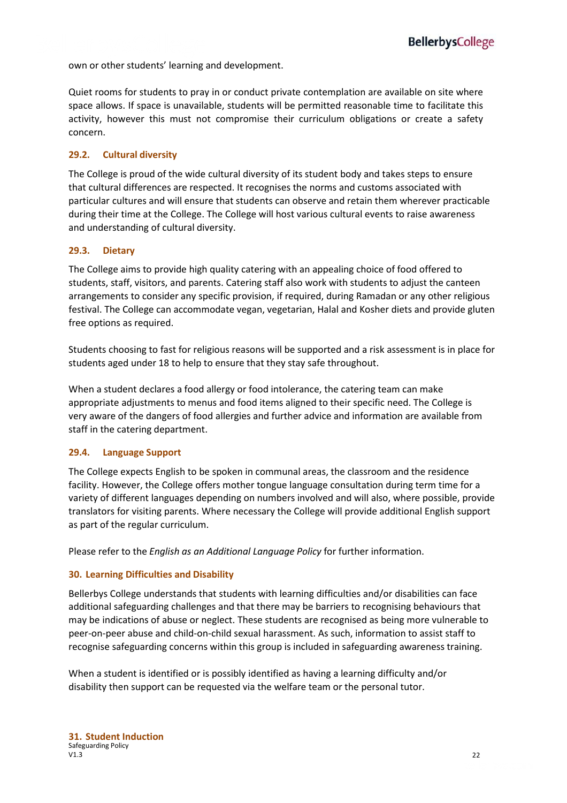own or other students' learning and development.

Quiet rooms for students to pray in or conduct private contemplation are available on site where space allows. If space is unavailable, students will be permitted reasonable time to facilitate this activity, however this must not compromise their curriculum obligations or create a safety concern.

#### **29.2. Cultural diversity**

The College is proud of the wide cultural diversity of its student body and takes steps to ensure that cultural differences are respected. It recognises the norms and customs associated with particular cultures and will ensure that students can observe and retain them wherever practicable during their time at the College. The College will host various cultural events to raise awareness and understanding of cultural diversity.

#### **29.3. Dietary**

The College aims to provide high quality catering with an appealing choice of food offered to students, staff, visitors, and parents. Catering staff also work with students to adjust the canteen arrangements to consider any specific provision, if required, during Ramadan or any other religious festival. The College can accommodate vegan, vegetarian, Halal and Kosher diets and provide gluten free options as required.

Students choosing to fast for religious reasons will be supported and a risk assessment is in place for students aged under 18 to help to ensure that they stay safe throughout.

When a student declares a food allergy or food intolerance, the catering team can make appropriate adjustments to menus and food items aligned to their specific need. The College is very aware of the dangers of food allergies and further advice and information are available from staff in the catering department.

#### **29.4. Language Support**

The College expects English to be spoken in communal areas, the classroom and the residence facility. However, the College offers mother tongue language consultation during term time for a variety of different languages depending on numbers involved and will also, where possible, provide translators for visiting parents. Where necessary the College will provide additional English support as part of the regular curriculum.

Please refer to the *English as an Additional Language Policy* for further information.

#### **30. Learning Difficulties and Disability**

Bellerbys College understands that students with learning difficulties and/or disabilities can face additional safeguarding challenges and that there may be barriers to recognising behaviours that may be indications of abuse or neglect. These students are recognised as being more vulnerable to peer-on-peer abuse and child-on-child sexual harassment. As such, information to assist staff to recognise safeguarding concerns within this group is included in safeguarding awareness training.

When a student is identified or is possibly identified as having a learning difficulty and/or disability then support can be requested via the welfare team or the personal tutor.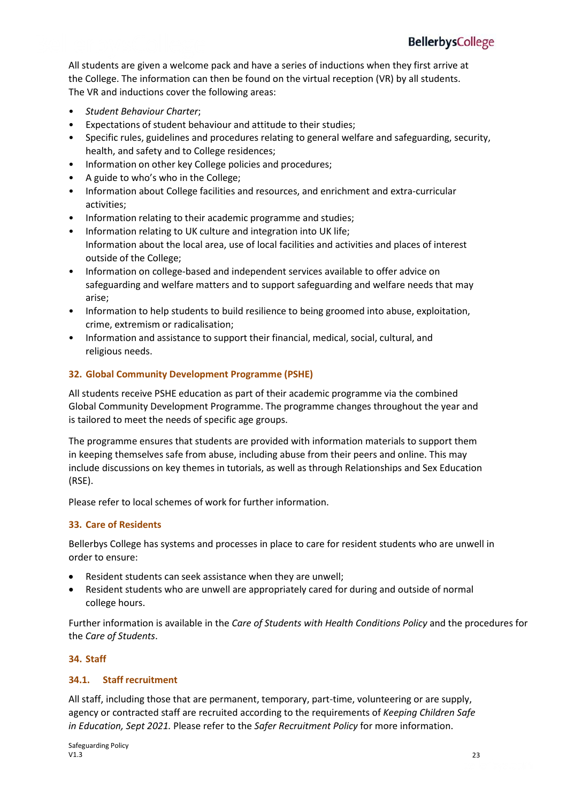All students are given a welcome pack and have a series of inductions when they first arrive at the College. The information can then be found on the virtual reception (VR) by all students. The VR and inductions cover the following areas:

- *Student Behaviour Charter*;
- Expectations of student behaviour and attitude to their studies;
- Specific rules, guidelines and procedures relating to general welfare and safeguarding, security, health, and safety and to College residences;
- Information on other key College policies and procedures;
- A guide to who's who in the College;
- Information about College facilities and resources, and enrichment and extra-curricular activities;
- Information relating to their academic programme and studies;
- Information relating to UK culture and integration into UK life; Information about the local area, use of local facilities and activities and places of interest outside of the College;
- Information on college-based and independent services available to offer advice on safeguarding and welfare matters and to support safeguarding and welfare needs that may arise;
- Information to help students to build resilience to being groomed into abuse, exploitation, crime, extremism or radicalisation;
- Information and assistance to support their financial, medical, social, cultural, and religious needs.

#### **32. Global Community Development Programme (PSHE)**

All students receive PSHE education as part of their academic programme via the combined Global Community Development Programme. The programme changes throughout the year and is tailored to meet the needs of specific age groups.

The programme ensures that students are provided with information materials to support them in keeping themselves safe from abuse, including abuse from their peers and online. This may include discussions on key themes in tutorials, as well as through Relationships and Sex Education (RSE).

Please refer to local schemes of work for further information.

#### **33. Care of Residents**

Bellerbys College has systems and processes in place to care for resident students who are unwell in order to ensure:

- Resident students can seek assistance when they are unwell;
- Resident students who are unwell are appropriately cared for during and outside of normal college hours.

Further information is available in the *Care of Students with Health Conditions Policy* and the procedures for the *Care of Students*.

#### **34. Staff**

#### **34.1. Staff recruitment**

All staff, including those that are permanent, temporary, part-time, volunteering or are supply, agency or contracted staff are recruited according to the requirements of *Keeping Children Safe in Education, Sept 2021.* Please refer to the *Safer Recruitment Policy* for more information.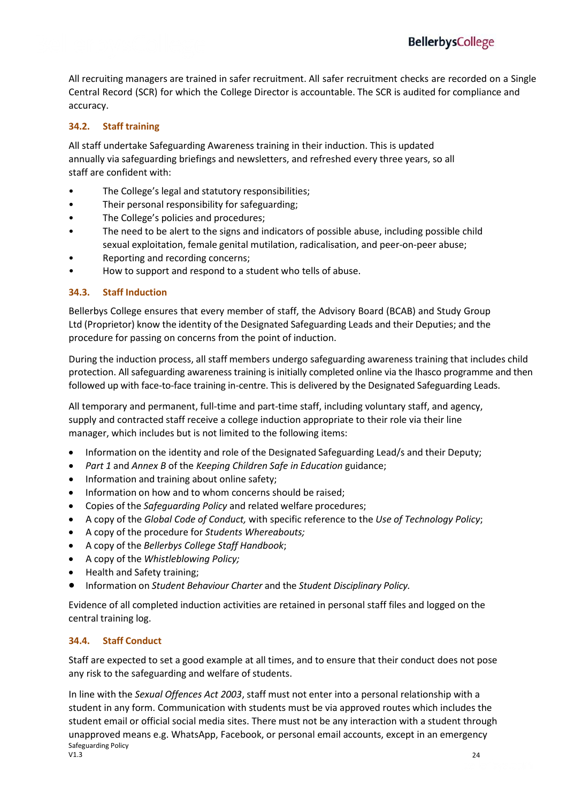All recruiting managers are trained in safer recruitment. All safer recruitment checks are recorded on a Single Central Record (SCR) for which the College Director is accountable. The SCR is audited for compliance and accuracy.

#### **34.2. Staff training**

All staff undertake Safeguarding Awareness training in their induction. This is updated annually via safeguarding briefings and newsletters, and refreshed every three years, so all staff are confident with:

- The College's legal and statutory responsibilities;
- Their personal responsibility for safeguarding;
- The College's policies and procedures;
- The need to be alert to the signs and indicators of possible abuse, including possible child sexual exploitation, female genital mutilation, radicalisation, and peer-on-peer abuse;
- Reporting and recording concerns;
- How to support and respond to a student who tells of abuse.

#### **34.3. Staff Induction**

Bellerbys College ensures that every member of staff, the Advisory Board (BCAB) and Study Group Ltd (Proprietor) know the identity of the Designated Safeguarding Leads and their Deputies; and the procedure for passing on concerns from the point of induction.

During the induction process, all staff members undergo safeguarding awareness training that includes child protection. All safeguarding awareness training is initially completed online via the Ihasco programme and then followed up with face-to-face training in-centre. This is delivered by the Designated Safeguarding Leads.

All temporary and permanent, full-time and part-time staff, including voluntary staff, and agency, supply and contracted staff receive a college induction appropriate to their role via their line manager, which includes but is not limited to the following items:

- Information on the identity and role of the Designated Safeguarding Lead/s and their Deputy;
- *Part 1* and *Annex B* of the *Keeping Children Safe in Education* guidance;
- Information and training about online safety;
- Information on how and to whom concerns should be raised;
- Copies of the *Safeguarding Policy* and related welfare procedures;
- A copy of the *Global Code of Conduct,* with specific reference to the *Use of Technology Policy*;
- A copy of the procedure for *Students Whereabouts;*
- A copy of the *Bellerbys College Staff Handbook*;
- A copy of the *Whistleblowing Policy;*
- Health and Safety training;
- Information on *Student Behaviour Charter* and the *Student Disciplinary Policy.*

Evidence of all completed induction activities are retained in personal staff files and logged on the central training log.

#### **34.4. Staff Conduct**

Staff are expected to set a good example at all times, and to ensure that their conduct does not pose any risk to the safeguarding and welfare of students.

Safeguarding Policy<br>V1.3  $V1.3$  24 In line with the *Sexual Offences Act 2003*, staff must not enter into a personal relationship with a student in any form. Communication with students must be via approved routes which includes the student email or official social media sites. There must not be any interaction with a student through unapproved means e.g. WhatsApp, Facebook, or personal email accounts, except in an emergency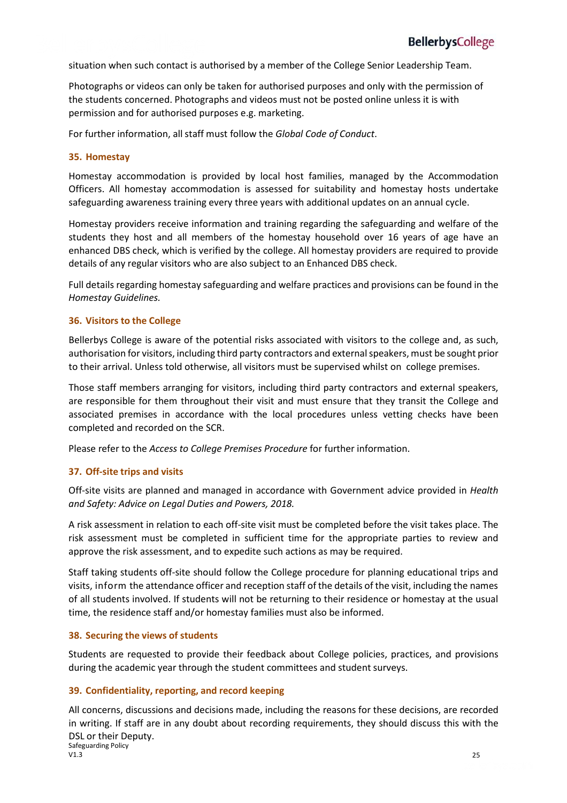situation when such contact is authorised by a member of the College Senior Leadership Team.

Photographs or videos can only be taken for authorised purposes and only with the permission of the students concerned. Photographs and videos must not be posted online unless it is with permission and for authorised purposes e.g. marketing.

For further information, allstaff must follow the *Global Code of Conduct*.

#### **35. Homestay**

Homestay accommodation is provided by local host families, managed by the Accommodation Officers. All homestay accommodation is assessed for suitability and homestay hosts undertake safeguarding awareness training every three years with additional updates on an annual cycle.

Homestay providers receive information and training regarding the safeguarding and welfare of the students they host and all members of the homestay household over 16 years of age have an enhanced DBS check, which is verified by the college. All homestay providers are required to provide details of any regular visitors who are also subject to an Enhanced DBS check.

Full details regarding homestay safeguarding and welfare practices and provisions can be found in the *Homestay Guidelines.*

#### **36. Visitors to the College**

Bellerbys College is aware of the potential risks associated with visitors to the college and, as such, authorisation for visitors, including third party contractors and external speakers, must be sought prior to their arrival. Unless told otherwise, all visitors must be supervised whilst on college premises.

Those staff members arranging for visitors, including third party contractors and external speakers, are responsible for them throughout their visit and must ensure that they transit the College and associated premises in accordance with the local procedures unless vetting checks have been completed and recorded on the SCR.

Please refer to the *Access to College Premises Procedure* for further information.

#### **37. Off-site trips and visits**

Off-site visits are planned and managed in accordance with Government advice provided in *Health and Safety: Advice on Legal Duties and Powers, 2018.*

A risk assessment in relation to each off-site visit must be completed before the visit takes place. The risk assessment must be completed in sufficient time for the appropriate parties to review and approve the risk assessment, and to expedite such actions as may be required.

Staff taking students off-site should follow the College procedure for planning educational trips and visits, inform the attendance officer and reception staff of the details of the visit, including the names of all students involved. If students will not be returning to their residence or homestay at the usual time, the residence staff and/or homestay families must also be informed.

#### **38. Securing the views of students**

Students are requested to provide their feedback about College policies, practices, and provisions during the academic year through the student committees and student surveys.

#### **39. Confidentiality, reporting, and record keeping**

Safeguarding Policy<br>V1.3 All concerns, discussions and decisions made, including the reasons for these decisions, are recorded in writing. If staff are in any doubt about recording requirements, they should discuss this with the DSL or their Deputy.

 $V1.3$  25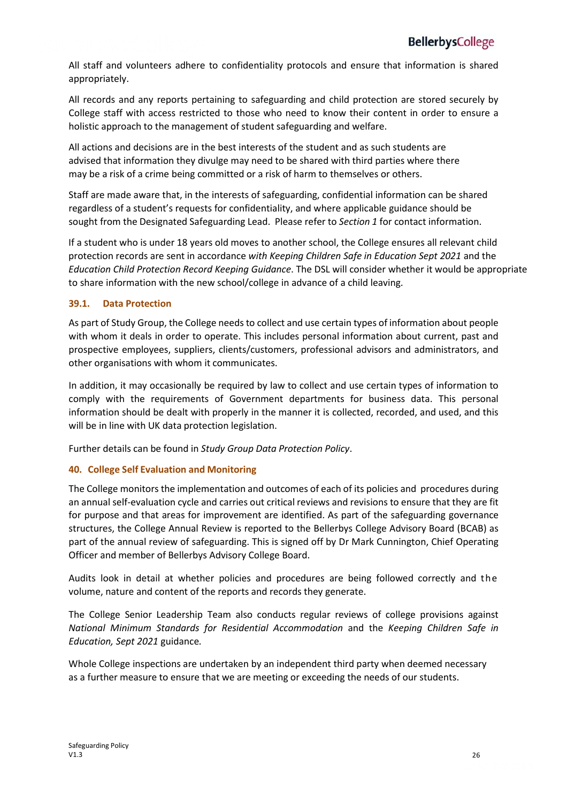All staff and volunteers adhere to confidentiality protocols and ensure that information is shared appropriately.

All records and any reports pertaining to safeguarding and child protection are stored securely by College staff with access restricted to those who need to know their content in order to ensure a holistic approach to the management of student safeguarding and welfare.

All actions and decisions are in the best interests of the student and as such students are advised that information they divulge may need to be shared with third parties where there may be a risk of a crime being committed or a risk of harm to themselves or others.

Staff are made aware that, in the interests of safeguarding, confidential information can be shared regardless of a student's requests for confidentiality, and where applicable guidance should be sought from the Designated Safeguarding Lead. Please refer to *Section 1* for contact information.

If a student who is under 18 years old moves to another school, the College ensures all relevant child protection records are sent in accordance *with Keeping Children Safe in Education Sept 2021* and the *Education Child Protection Record Keeping Guidance*. The DSL will consider whether it would be appropriate to share information with the new school/college in advance of a child leaving.

#### **39.1. Data Protection**

As part of Study Group, the College needs to collect and use certain types of information about people with whom it deals in order to operate. This includes personal information about current, past and prospective employees, suppliers, clients/customers, professional advisors and administrators, and other organisations with whom it communicates.

In addition, it may occasionally be required by law to collect and use certain types of information to comply with the requirements of Government departments for business data. This personal information should be dealt with properly in the manner it is collected, recorded, and used, and this will be in line with UK data protection legislation.

Further details can be found in *Study Group Data Protection Policy*.

#### **40. College Self Evaluation and Monitoring**

The College monitors the implementation and outcomes of each of its policies and procedures during an annual self-evaluation cycle and carries out critical reviews and revisions to ensure that they are fit for purpose and that areas for improvement are identified. As part of the safeguarding governance structures, the College Annual Review is reported to the Bellerbys College Advisory Board (BCAB) as part of the annual review of safeguarding. This is signed off by Dr Mark Cunnington, Chief Operating Officer and member of Bellerbys Advisory College Board.

Audits look in detail at whether policies and procedures are being followed correctly and the volume, nature and content of the reports and records they generate.

The College Senior Leadership Team also conducts regular reviews of college provisions against *National Minimum Standards for Residential Accommodation* and the *Keeping Children Safe in Education, Sept 2021* guidance*.*

Whole College inspections are undertaken by an independent third party when deemed necessary as a further measure to ensure that we are meeting or exceeding the needs of our students.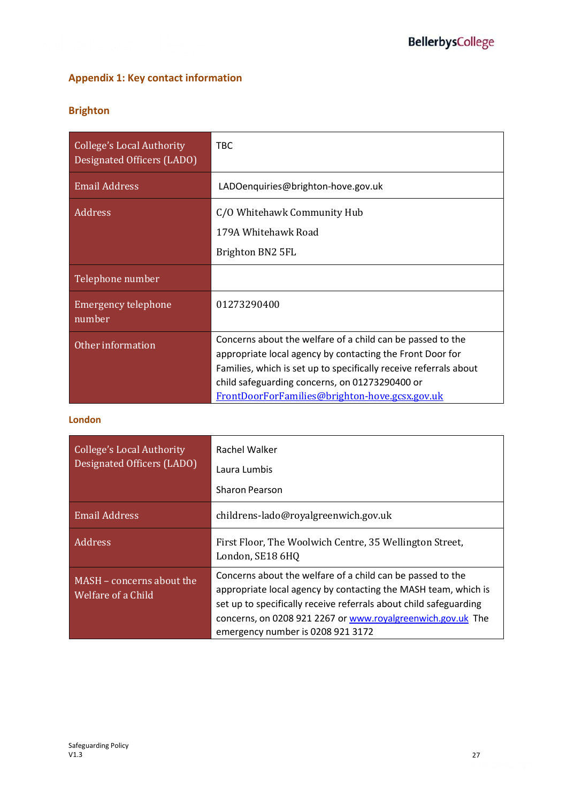### **Appendix 1: Key contact information**

### **Brighton**

| <b>College's Local Authority</b><br>Designated Officers (LADO) | <b>TBC</b>                                                                                                                                                                                                                                     |
|----------------------------------------------------------------|------------------------------------------------------------------------------------------------------------------------------------------------------------------------------------------------------------------------------------------------|
| <b>Email Address</b>                                           | LADOenquiries@brighton-hove.gov.uk                                                                                                                                                                                                             |
| Address                                                        | C/O Whitehawk Community Hub                                                                                                                                                                                                                    |
|                                                                | 179A Whitehawk Road                                                                                                                                                                                                                            |
|                                                                | Brighton BN2 5FL                                                                                                                                                                                                                               |
| Telephone number                                               |                                                                                                                                                                                                                                                |
| Emergency telephone<br>number                                  | 01273290400                                                                                                                                                                                                                                    |
| Other information                                              | Concerns about the welfare of a child can be passed to the<br>appropriate local agency by contacting the Front Door for<br>Families, which is set up to specifically receive referrals about<br>child safeguarding concerns, on 01273290400 or |
|                                                                | FrontDoorForFamilies@brighton-hove.gcsx.gov.uk                                                                                                                                                                                                 |

### **London**

| College's Local Authority<br>Designated Officers (LADO) | Rachel Walker<br>Laura Lumbis<br><b>Sharon Pearson</b>                                                                                                                                                                                                                                                |
|---------------------------------------------------------|-------------------------------------------------------------------------------------------------------------------------------------------------------------------------------------------------------------------------------------------------------------------------------------------------------|
| <b>Email Address</b>                                    | childrens-lado@royalgreenwich.gov.uk                                                                                                                                                                                                                                                                  |
| Address                                                 | First Floor, The Woolwich Centre, 35 Wellington Street,<br>London, SE18 6HQ                                                                                                                                                                                                                           |
| MASH - concerns about the<br>Welfare of a Child         | Concerns about the welfare of a child can be passed to the<br>appropriate local agency by contacting the MASH team, which is<br>set up to specifically receive referrals about child safeguarding<br>concerns, on 0208 921 2267 or www.royalgreenwich.gov.uk The<br>emergency number is 0208 921 3172 |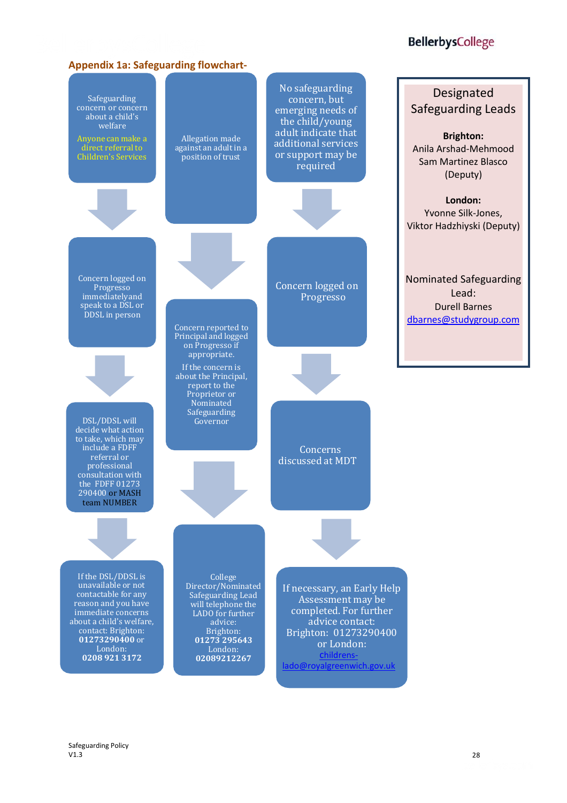### **BellerbysCollege**

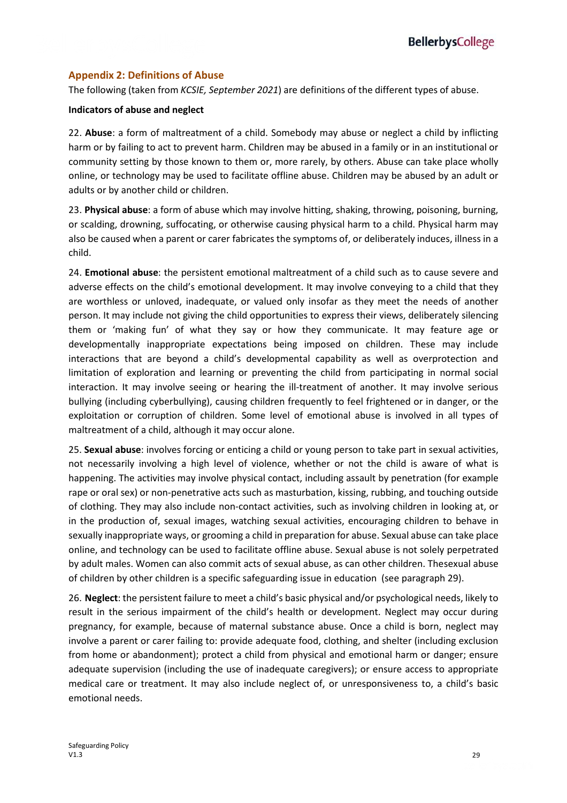#### **Appendix 2: Definitions of Abuse**

The following (taken from *KCSIE, September 2021*) are definitions of the different types of abuse.

#### **Indicators of abuse and neglect**

22. **Abuse**: a form of maltreatment of a child. Somebody may abuse or neglect a child by inflicting harm or by failing to act to prevent harm. Children may be abused in a family or in an institutional or community setting by those known to them or, more rarely, by others. Abuse can take place wholly online, or technology may be used to facilitate offline abuse. Children may be abused by an adult or adults or by another child or children.

23. **Physical abuse**: a form of abuse which may involve hitting, shaking, throwing, poisoning, burning, or scalding, drowning, suffocating, or otherwise causing physical harm to a child. Physical harm may also be caused when a parent or carer fabricates the symptoms of, or deliberately induces, illness in a child.

24. **Emotional abuse**: the persistent emotional maltreatment of a child such as to cause severe and adverse effects on the child's emotional development. It may involve conveying to a child that they are worthless or unloved, inadequate, or valued only insofar as they meet the needs of another person. It may include not giving the child opportunities to express their views, deliberately silencing them or 'making fun' of what they say or how they communicate. It may feature age or developmentally inappropriate expectations being imposed on children. These may include interactions that are beyond a child's developmental capability as well as overprotection and limitation of exploration and learning or preventing the child from participating in normal social interaction. It may involve seeing or hearing the ill-treatment of another. It may involve serious bullying (including cyberbullying), causing children frequently to feel frightened or in danger, or the exploitation or corruption of children. Some level of emotional abuse is involved in all types of maltreatment of a child, although it may occur alone.

25. **Sexual abuse**: involves forcing or enticing a child or young person to take part in sexual activities, not necessarily involving a high level of violence, whether or not the child is aware of what is happening. The activities may involve physical contact, including assault by penetration (for example rape or oral sex) or non-penetrative acts such as masturbation, kissing, rubbing, and touching outside of clothing. They may also include non-contact activities, such as involving children in looking at, or in the production of, sexual images, watching sexual activities, encouraging children to behave in sexually inappropriate ways, or grooming a child in preparation for abuse. Sexual abuse can take place online, and technology can be used to facilitate offline abuse. Sexual abuse is not solely perpetrated by adult males. Women can also commit acts of sexual abuse, as can other children. Thesexual abuse of children by other children is a specific safeguarding issue in education (see paragraph 29).

26. **Neglect**: the persistent failure to meet a child's basic physical and/or psychological needs, likely to result in the serious impairment of the child's health or development. Neglect may occur during pregnancy, for example, because of maternal substance abuse. Once a child is born, neglect may involve a parent or carer failing to: provide adequate food, clothing, and shelter (including exclusion from home or abandonment); protect a child from physical and emotional harm or danger; ensure adequate supervision (including the use of inadequate caregivers); or ensure access to appropriate medical care or treatment. It may also include neglect of, or unresponsiveness to, a child's basic emotional needs.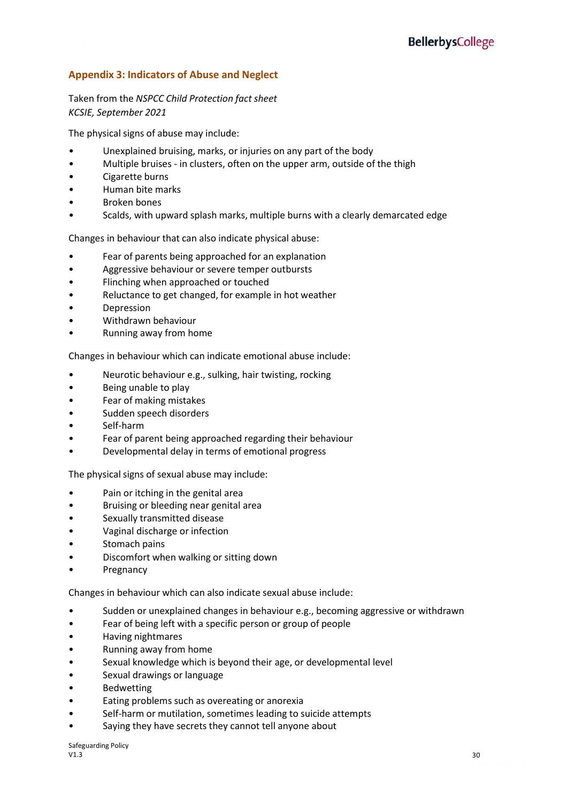### **Appendix 3: Indicators of Abuse and Neglect**

#### Taken from the *NSPCC Child Protection fact sheet KCSIE, September 2021*

The physical signs of abuse may include:

- Unexplained bruising, marks, or injuries on any part of the body
- Multiple bruises in clusters, often on the upper arm, outside of the thigh
- Cigarette burns
- Human bite marks
- Broken bones
- Scalds, with upward splash marks, multiple burns with a clearly demarcated edge

Changes in behaviour that can also indicate physical abuse:

- Fear of parents being approached for an explanation
- Aggressive behaviour or severe temper outbursts
- Flinching when approached or touched
- Reluctance to get changed, for example in hot weather
- **Depression**
- Withdrawn behaviour
- Running away from home

Changes in behaviour which can indicate emotional abuse include:

- Neurotic behaviour e.g., sulking, hair twisting, rocking
- Being unable to play
- Fear of making mistakes
- Sudden speech disorders
- Self-harm
- Fear of parent being approached regarding their behaviour
- Developmental delay in terms of emotional progress

The physical signs of sexual abuse may include:

- Pain or itching in the genital area
- Bruising or bleeding near genital area
- Sexually transmitted disease
- Vaginal discharge or infection
- Stomach pains
- Discomfort when walking or sitting down
- **Pregnancy**

Changes in behaviour which can also indicate sexual abuse include:

- Sudden or unexplained changes in behaviour e.g., becoming aggressive or withdrawn
- Fear of being left with a specific person or group of people
- Having nightmares
- Running away from home
- Sexual knowledge which is beyond their age, or developmental level
- Sexual drawings or language
- **Bedwetting**
- Eating problems such as overeating or anorexia
- Self-harm or mutilation, sometimes leading to suicide attempts
- Saying they have secrets they cannot tell anyone about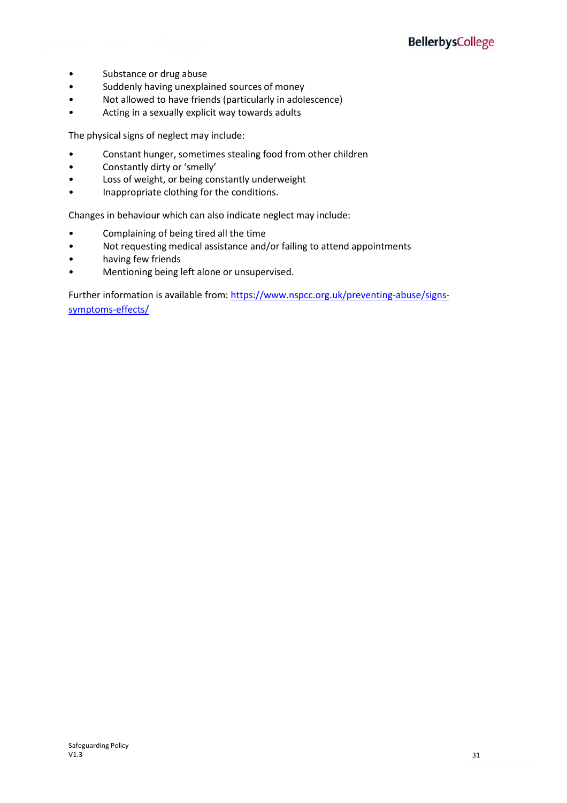- Substance or drug abuse
- Suddenly having unexplained sources of money
- Not allowed to have friends (particularly in adolescence)
- Acting in a sexually explicit way towards adults

The physical signs of neglect may include:

- Constant hunger, sometimes stealing food from other children
- Constantly dirty or 'smelly'
- Loss of weight, or being constantly underweight
- Inappropriate clothing for the conditions.

Changes in behaviour which can also indicate neglect may include:

- Complaining of being tired all the time
- Not requesting medical assistance and/or failing to attend appointments
- having few friends
- Mentioning being left alone or unsupervised.

Further information is available from: [https://www.nspcc.org.uk/preventing-abuse/signs](https://www.nspcc.org.uk/preventing-abuse/signs-symptoms-effects/)[symptoms-effects/](https://www.nspcc.org.uk/preventing-abuse/signs-symptoms-effects/)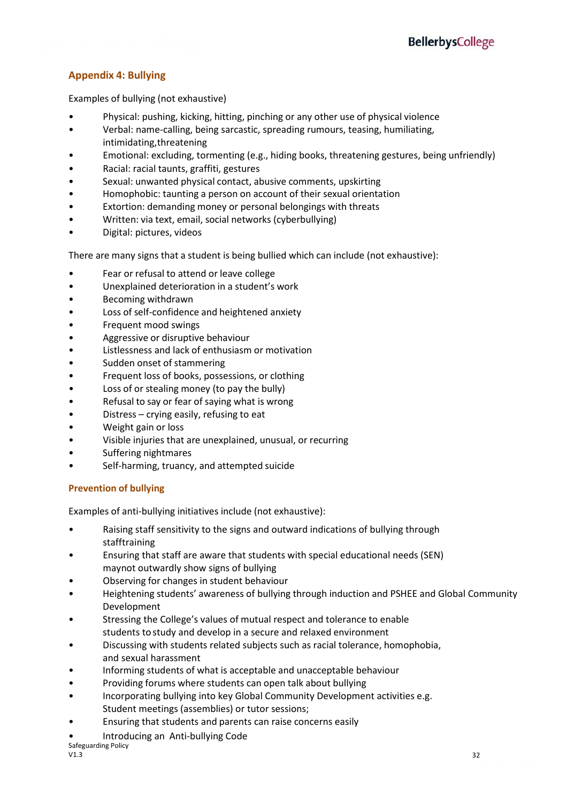### **Appendix 4: Bullying**

Examples of bullying (not exhaustive)

- Physical: pushing, kicking, hitting, pinching or any other use of physical violence
- Verbal: name-calling, being sarcastic, spreading rumours, teasing, humiliating, intimidating,threatening
- Emotional: excluding, tormenting (e.g., hiding books, threatening gestures, being unfriendly)
- Racial: racial taunts, graffiti, gestures
- Sexual: unwanted physical contact, abusive comments, upskirting
- Homophobic: taunting a person on account of their sexual orientation
- Extortion: demanding money or personal belongings with threats
- Written: via text, email, social networks (cyberbullying)
- Digital: pictures, videos

There are many signs that a student is being bullied which can include (not exhaustive):

- Fear or refusal to attend or leave college
- Unexplained deterioration in a student's work
- Becoming withdrawn
- Loss of self-confidence and heightened anxiety
- Frequent mood swings
- Aggressive or disruptive behaviour
- Listlessness and lack of enthusiasm or motivation
- Sudden onset of stammering
- Frequent loss of books, possessions, or clothing
- Loss of or stealing money (to pay the bully)
- Refusal to say or fear of saying what is wrong
- Distress crying easily, refusing to eat
- Weight gain or loss
- Visible injuries that are unexplained, unusual, or recurring
- Suffering nightmares
- Self-harming, truancy, and attempted suicide

### **Prevention of bullying**

Examples of anti-bullying initiatives include (not exhaustive):

- Raising staff sensitivity to the signs and outward indications of bullying through stafftraining
- Ensuring that staff are aware that students with special educational needs (SEN) maynot outwardly show signs of bullying
- Observing for changes in student behaviour
- Heightening students' awareness of bullying through induction and PSHEE and Global Community Development
- Stressing the College's values of mutual respect and tolerance to enable students to study and develop in a secure and relaxed environment
- Discussing with students related subjects such as racial tolerance, homophobia, and sexual harassment
- Informing students of what is acceptable and unacceptable behaviour
- Providing forums where students can open talk about bullying
- Incorporating bullying into key Global Community Development activities e.g. Student meetings (assemblies) or tutor sessions;
- Ensuring that students and parents can raise concerns easily
- Introducing an Anti-bullying Code

Safeguarding Policy<br>V1.3